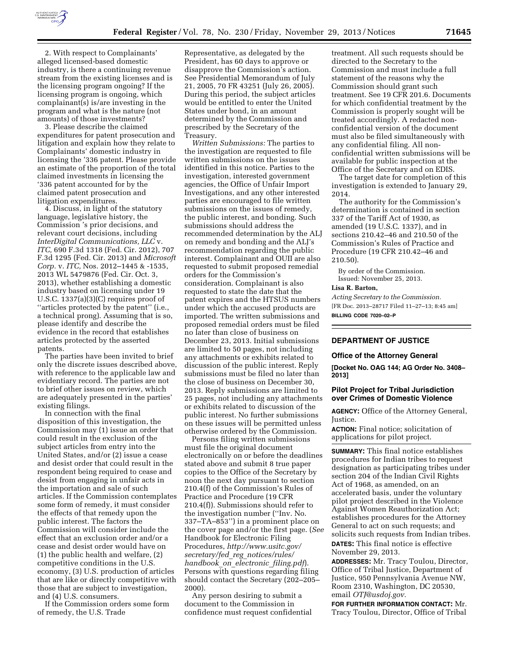

2. With respect to Complainants' alleged licensed-based domestic industry, is there a continuing revenue stream from the existing licenses and is the licensing program ongoing? If the licensing program is ongoing, which complainant(s) is/are investing in the program and what is the nature (not amounts) of those investments?

3. Please describe the claimed expenditures for patent prosecution and litigation and explain how they relate to Complainants' domestic industry in licensing the '336 patent. Please provide an estimate of the proportion of the total claimed investments in licensing the '336 patent accounted for by the claimed patent prosecution and litigation expenditures.

4. Discuss, in light of the statutory language, legislative history, the Commission 's prior decisions, and relevant court decisions, including *InterDigital Communications, LLC* v. *ITC,* 690 F.3d 1318 (Fed. Cir. 2012), 707 F.3d 1295 (Fed. Cir. 2013) and *Microsoft Corp.* v. *ITC,* Nos. 2012–1445 & -1535, 2013 WL 5479876 (Fed. Cir. Oct. 3, 2013), whether establishing a domestic industry based on licensing under 19 U.S.C. 1337(a)(3)(C) requires proof of ''articles protected by the patent'' (i.e., a technical prong). Assuming that is so, please identify and describe the evidence in the record that establishes articles protected by the asserted patents.

The parties have been invited to brief only the discrete issues described above, with reference to the applicable law and evidentiary record. The parties are not to brief other issues on review, which are adequately presented in the parties' existing filings.

In connection with the final disposition of this investigation, the Commission may (1) issue an order that could result in the exclusion of the subject articles from entry into the United States, and/or (2) issue a cease and desist order that could result in the respondent being required to cease and desist from engaging in unfair acts in the importation and sale of such articles. If the Commission contemplates some form of remedy, it must consider the effects of that remedy upon the public interest. The factors the Commission will consider include the effect that an exclusion order and/or a cease and desist order would have on (1) the public health and welfare, (2) competitive conditions in the U.S. economy, (3) U.S. production of articles that are like or directly competitive with those that are subject to investigation, and (4) U.S. consumers.

If the Commission orders some form of remedy, the U.S. Trade

Representative, as delegated by the President, has 60 days to approve or disapprove the Commission's action. See Presidential Memorandum of July 21, 2005, 70 FR 43251 (July 26, 2005). During this period, the subject articles would be entitled to enter the United States under bond, in an amount determined by the Commission and prescribed by the Secretary of the Treasury.

*Written Submissions:* The parties to the investigation are requested to file written submissions on the issues identified in this notice. Parties to the investigation, interested government agencies, the Office of Unfair Import Investigations, and any other interested parties are encouraged to file written submissions on the issues of remedy, the public interest, and bonding. Such submissions should address the recommended determination by the ALJ on remedy and bonding and the ALJ's recommendation regarding the public interest. Complainant and OUII are also requested to submit proposed remedial orders for the Commission's consideration. Complainant is also requested to state the date that the patent expires and the HTSUS numbers under which the accused products are imported. The written submissions and proposed remedial orders must be filed no later than close of business on December 23, 2013. Initial submissions are limited to 50 pages, not including any attachments or exhibits related to discussion of the public interest. Reply submissions must be filed no later than the close of business on December 30, 2013. Reply submissions are limited to 25 pages, not including any attachments or exhibits related to discussion of the public interest. No further submissions on these issues will be permitted unless otherwise ordered by the Commission.

Persons filing written submissions must file the original document electronically on or before the deadlines stated above and submit 8 true paper copies to the Office of the Secretary by noon the next day pursuant to section 210.4(f) of the Commission's Rules of Practice and Procedure (19 CFR 210.4(f)). Submissions should refer to the investigation number (''Inv. No. 337–TA–853'') in a prominent place on the cover page and/or the first page. (*See*  Handbook for Electronic Filing Procedures, *[http://www.usitc.gov/](http://www.usitc.gov/secretary/fed_reg_notices/rules/handbook_on_electronic_filing.pdf) secretary/fed*\_*reg*\_*[notices/rules/](http://www.usitc.gov/secretary/fed_reg_notices/rules/handbook_on_electronic_filing.pdf) [handbook](http://www.usitc.gov/secretary/fed_reg_notices/rules/handbook_on_electronic_filing.pdf)*\_*on*\_*electronic*\_*filing.pdf*). Persons with questions regarding filing should contact the Secretary (202–205– 2000).

Any person desiring to submit a document to the Commission in confidence must request confidential

treatment. All such requests should be directed to the Secretary to the Commission and must include a full statement of the reasons why the Commission should grant such treatment. See 19 CFR 201.6. Documents for which confidential treatment by the Commission is properly sought will be treated accordingly. A redacted nonconfidential version of the document must also be filed simultaneously with any confidential filing. All nonconfidential written submissions will be available for public inspection at the Office of the Secretary and on EDIS.

The target date for completion of this investigation is extended to January 29, 2014.

The authority for the Commission's determination is contained in section 337 of the Tariff Act of 1930, as amended (19 U.S.C. 1337), and in sections 210.42–46 and 210.50 of the Commission's Rules of Practice and Procedure (19 CFR 210.42–46 and 210.50).

By order of the Commission. Issued: November 25, 2013.

# **Lisa R. Barton,**

*Acting Secretary to the Commission.*  [FR Doc. 2013–28717 Filed 11–27–13; 8:45 am] **BILLING CODE 7020–02–P** 

# **DEPARTMENT OF JUSTICE**

#### **Office of the Attorney General**

**[Docket No. OAG 144; AG Order No. 3408– 2013]** 

# **Pilot Project for Tribal Jurisdiction over Crimes of Domestic Violence**

**AGENCY:** Office of the Attorney General, Justice.

**ACTION:** Final notice; solicitation of applications for pilot project.

**SUMMARY:** This final notice establishes procedures for Indian tribes to request designation as participating tribes under section 204 of the Indian Civil Rights Act of 1968, as amended, on an accelerated basis, under the voluntary pilot project described in the Violence Against Women Reauthorization Act; establishes procedures for the Attorney General to act on such requests; and solicits such requests from Indian tribes. **DATES:** This final notice is effective November 29, 2013.

**ADDRESSES:** Mr. Tracy Toulou, Director, Office of Tribal Justice, Department of Justice, 950 Pennsylvania Avenue NW, Room 2310, Washington, DC 20530, email *[OTJ@usdoj.gov.](mailto:OTJ@usdoj.gov)* 

**FOR FURTHER INFORMATION CONTACT:** Mr. Tracy Toulou, Director, Office of Tribal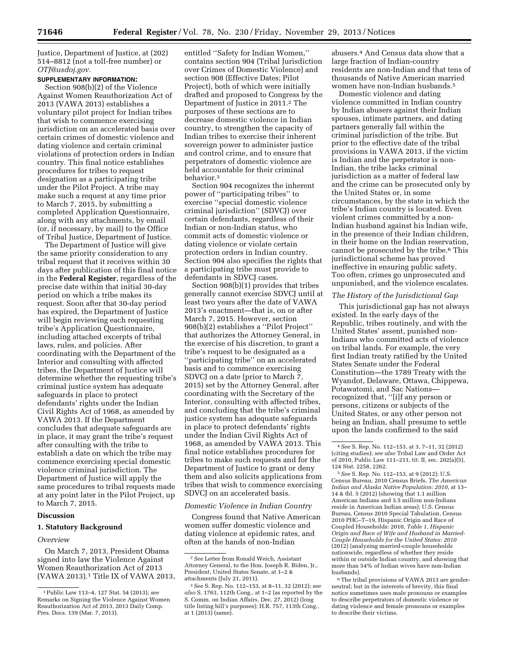Justice, Department of Justice, at (202) 514–8812 (not a toll-free number) or *[OTJ@usdoj.gov.](mailto:OTJ@usdoj.gov)* 

# **SUPPLEMENTARY INFORMATION:**

Section 908(b)(2) of the Violence Against Women Reauthorization Act of 2013 (VAWA 2013) establishes a voluntary pilot project for Indian tribes that wish to commence exercising jurisdiction on an accelerated basis over certain crimes of domestic violence and dating violence and certain criminal violations of protection orders in Indian country. This final notice establishes procedures for tribes to request designation as a participating tribe under the Pilot Project. A tribe may make such a request at any time prior to March 7, 2015, by submitting a completed Application Questionnaire, along with any attachments, by email (or, if necessary, by mail) to the Office of Tribal Justice, Department of Justice.

The Department of Justice will give the same priority consideration to any tribal request that it receives within 30 days after publication of this final notice in the **Federal Register**, regardless of the precise date within that initial 30-day period on which a tribe makes its request. Soon after that 30-day period has expired, the Department of Justice will begin reviewing each requesting tribe's Application Questionnaire, including attached excerpts of tribal laws, rules, and policies. After coordinating with the Department of the Interior and consulting with affected tribes, the Department of Justice will determine whether the requesting tribe's criminal justice system has adequate safeguards in place to protect defendants' rights under the Indian Civil Rights Act of 1968, as amended by VAWA 2013. If the Department concludes that adequate safeguards are in place, it may grant the tribe's request after consulting with the tribe to establish a date on which the tribe may commence exercising special domestic violence criminal jurisdiction. The Department of Justice will apply the same procedures to tribal requests made at any point later in the Pilot Project, up to March 7, 2015.

# **Discussion**

## **1. Statutory Background**

## *Overview*

On March 7, 2013, President Obama signed into law the Violence Against Women Reauthorization Act of 2013 (VAWA 2013).1 Title IX of VAWA 2013,

entitled ''Safety for Indian Women,'' contains section 904 (Tribal Jurisdiction over Crimes of Domestic Violence) and section 908 (Effective Dates; Pilot Project), both of which were initially drafted and proposed to Congress by the Department of Justice in 2011.<sup>2</sup> The purposes of these sections are to decrease domestic violence in Indian country, to strengthen the capacity of Indian tribes to exercise their inherent sovereign power to administer justice and control crime, and to ensure that perpetrators of domestic violence are held accountable for their criminal behavior.3

Section 904 recognizes the inherent power of ''participating tribes'' to exercise ''special domestic violence criminal jurisdiction'' (SDVCJ) over certain defendants, regardless of their Indian or non-Indian status, who commit acts of domestic violence or dating violence or violate certain protection orders in Indian country. Section 904 also specifies the rights that a participating tribe must provide to defendants in SDVCJ cases.

Section 908(b)(1) provides that tribes generally cannot exercise SDVCJ until at least two years after the date of VAWA 2013's enactment—that is, on or after March 7, 2015. However, section 908(b)(2) establishes a ''Pilot Project'' that authorizes the Attorney General, in the exercise of his discretion, to grant a tribe's request to be designated as a 'participating tribe" on an accelerated basis and to commence exercising SDVCJ on a date (prior to March 7, 2015) set by the Attorney General, after coordinating with the Secretary of the Interior, consulting with affected tribes, and concluding that the tribe's criminal justice system has adequate safeguards in place to protect defendants' rights under the Indian Civil Rights Act of 1968, as amended by VAWA 2013. This final notice establishes procedures for tribes to make such requests and for the Department of Justice to grant or deny them and also solicits applications from tribes that wish to commence exercising SDVCJ on an accelerated basis.

## *Domestic Violence in Indian Country*

Congress found that Native American women suffer domestic violence and dating violence at epidemic rates, and often at the hands of non-Indian

abusers.4 And Census data show that a large fraction of Indian-country residents are non-Indian and that tens of thousands of Native American married women have non-Indian husbands.5

Domestic violence and dating violence committed in Indian country by Indian abusers against their Indian spouses, intimate partners, and dating partners generally fall within the criminal jurisdiction of the tribe. But prior to the effective date of the tribal provisions in VAWA 2013, if the victim is Indian and the perpetrator is non-Indian, the tribe lacks criminal jurisdiction as a matter of federal law and the crime can be prosecuted only by the United States or, in some circumstances, by the state in which the tribe's Indian country is located. Even violent crimes committed by a non-Indian husband against his Indian wife, in the presence of their Indian children, in their home on the Indian reservation, cannot be prosecuted by the tribe.6 This jurisdictional scheme has proved ineffective in ensuring public safety. Too often, crimes go unprosecuted and unpunished, and the violence escalates.

### *The History of the Jurisdictional Gap*

This jurisdictional gap has not always existed. In the early days of the Republic, tribes routinely, and with the United States' assent, punished non-Indians who committed acts of violence on tribal lands. For example, the very first Indian treaty ratified by the United States Senate under the Federal Constitution—the 1789 Treaty with the Wyandot, Delaware, Ottawa, Chippewa, Potawatomi, and Sac Nations recognized that, ''[i]f any person or persons, citizens or subjects of the United States, or any other person not being an Indian, shall presume to settle upon the lands confirmed to the said

<sup>1</sup>Public Law 113–4, 127 Stat. 54 (2013); *see*  Remarks on Signing the Violence Against Women Reauthorization Act of 2013, 2013 Daily Comp. Pres. Docs. 139 (Mar. 7, 2013).

<sup>2</sup>*See* Letter from Ronald Weich, Assistant Attorney General, to the Hon. Joseph R. Biden, Jr., President, United States Senate, at 1–2 & attachments (July 21, 2011).

<sup>3</sup>*See* S. Rep. No. 112–153, at 8–11, 32 (2012); *see also* S. 1763, 112th Cong., at 1–2 (as reported by the S. Comm. on Indian Affairs, Dec. 27, 2012) (long title listing bill's purposes); H.R. 757, 113th Cong., at 1 (2013) (same).

<sup>4</sup>*See* S. Rep. No. 112–153, at 3, 7–11, 32 (2012) (citing studies); *see also* Tribal Law and Order Act of 2010, Public Law 111–211, tit. II, sec. 202(a)(5), 124 Stat. 2258, 2262.

<sup>5</sup>*See* S. Rep. No. 112–153, at 9 (2012); U.S. Census Bureau, 2010 Census Briefs, *The American Indian and Alaska Native Population: 2010,* at 13– 14 & tbl. 5 (2012) (showing that 1.1 million American Indians and 3.5 million non-Indians reside in American Indian areas); U.S. Census Bureau, Census 2010 Special Tabulation, Census 2010 PHC–T–19, Hispanic Origin and Race of Coupled Households: 2010, *Table 1, Hispanic Origin and Race of Wife and Husband in Married-Couple Households for the United States: 2010*  (2012) (analyzing married-couple households nationwide, regardless of whether they reside within or outside Indian country, and showing that more than 54% of Indian wives have non-Indian husbands).

<sup>&</sup>lt;sup>6</sup>The tribal provisions of VAWA 2013 are genderneutral; but in the interests of brevity, this final notice sometimes uses male pronouns or examples to describe perpetrators of domestic violence or dating violence and female pronouns or examples to describe their victims.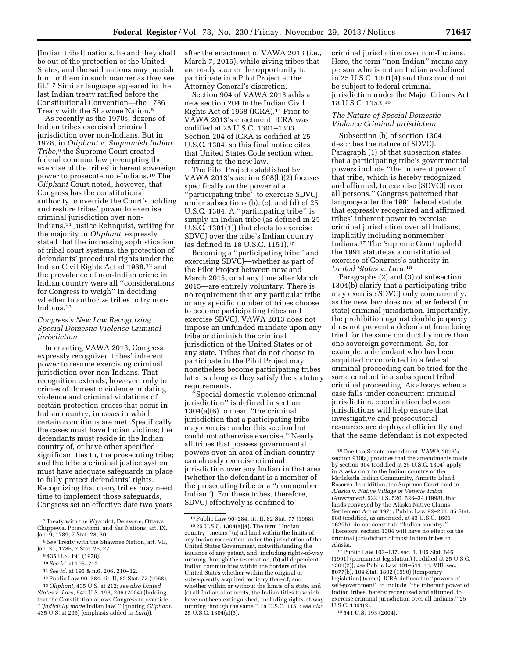[Indian tribal] nations, he and they shall be out of the protection of the United States; and the said nations may punish him or them in such manner as they see fit.'' 7 Similar language appeared in the last Indian treaty ratified before the Constitutional Convention—the 1786 Treaty with the Shawnee Nation.8

As recently as the 1970s, dozens of Indian tribes exercised criminal jurisdiction over non-Indians. But in 1978, in *Oliphant* v. *Suquamish Indian Tribe,*9 the Supreme Court created federal common law preempting the exercise of the tribes' inherent sovereign power to prosecute non-Indians.10 The *Oliphant* Court noted, however, that Congress has the constitutional authority to override the Court's holding and restore tribes' power to exercise criminal jurisdiction over non-Indians.11 Justice Rehnquist, writing for the majority in *Oliphant,* expressly stated that the increasing sophistication of tribal court systems, the protection of defendants' procedural rights under the Indian Civil Rights Act of 1968,12 and the prevalence of non-Indian crime in Indian country were all ''considerations for Congress to weigh'' in deciding whether to authorize tribes to try non-Indians.13

# *Congress's New Law Recognizing Special Domestic Violence Criminal Jurisdiction*

In enacting VAWA 2013, Congress expressly recognized tribes' inherent power to resume exercising criminal jurisdiction over non-Indians. That recognition extends, however, only to crimes of domestic violence or dating violence and criminal violations of certain protection orders that occur in Indian country, in cases in which certain conditions are met. Specifically, the cases must have Indian victims; the defendants must reside in the Indian country of, or have other specified significant ties to, the prosecuting tribe; and the tribe's criminal justice system must have adequate safeguards in place to fully protect defendants' rights. Recognizing that many tribes may need time to implement those safeguards, Congress set an effective date two years

11*See id.* at 195 & n.6, 206, 210–12.

after the enactment of VAWA 2013 (i.e., March 7, 2015), while giving tribes that are ready sooner the opportunity to participate in a Pilot Project at the Attorney General's discretion.

Section 904 of VAWA 2013 adds a new section 204 to the Indian Civil Rights Act of 1968 (ICRA).14 Prior to VAWA 2013's enactment, ICRA was codified at 25 U.S.C. 1301–1303. Section 204 of ICRA is codified at 25 U.S.C. 1304, so this final notice cites that United States Code section when referring to the new law.

The Pilot Project established by VAWA 2013's section 908(b)(2) focuses specifically on the power of a 'participating tribe'' to exercise SDVCJ under subsections (b), (c), and (d) of 25 U.S.C. 1304. A ''participating tribe'' is simply an Indian tribe (as defined in 25 U.S.C. 1301(1)) that elects to exercise SDVCJ over the tribe's Indian country (as defined in 18 U.S.C. 1151).15

Becoming a ''participating tribe'' and exercising SDVCJ—whether as part of the Pilot Project between now and March 2015, or at any time after March 2015—are entirely voluntary. There is no requirement that any particular tribe or any specific number of tribes choose to become participating tribes and exercise SDVCJ. VAWA 2013 does not impose an unfunded mandate upon any tribe or diminish the criminal jurisdiction of the United States or of any state. Tribes that do not choose to participate in the Pilot Project may nonetheless become participating tribes later, so long as they satisfy the statutory requirements.

''Special domestic violence criminal jurisdiction'' is defined in section 1304(a)(6) to mean ''the criminal jurisdiction that a participating tribe may exercise under this section but could not otherwise exercise.'' Nearly all tribes that possess governmental powers over an area of Indian country can already exercise criminal jurisdiction over any Indian in that area (whether the defendant is a member of the prosecuting tribe or a ''nonmember Indian''). For these tribes, therefore, SDVCJ effectively is confined to

criminal jurisdiction over non-Indians. Here, the term ''non-Indian'' means any person who is not an Indian as defined in 25 U.S.C. 1301(4) and thus could not be subject to federal criminal jurisdiction under the Major Crimes Act, 18 U.S.C. 1153.16

## *The Nature of Special Domestic Violence Criminal Jurisdiction*

Subsection (b) of section 1304 describes the nature of SDVCJ. Paragraph (1) of that subsection states that a participating tribe's governmental powers include ''the inherent power of that tribe, which is hereby recognized and affirmed, to exercise [SDVCJ] over all persons.'' Congress patterned that language after the 1991 federal statute that expressly recognized and affirmed tribes' inherent power to exercise criminal jurisdiction over all Indians, implicitly including nonmember Indians.17 The Supreme Court upheld the 1991 statute as a constitutional exercise of Congress's authority in *United States* v. *Lara.*18

Paragraphs (2) and (3) of subsection 1304(b) clarify that a participating tribe may exercise SDVCJ only concurrently, as the new law does not alter federal (or state) criminal jurisdiction. Importantly, the prohibition against double jeopardy does not prevent a defendant from being tried for the same conduct by more than one sovereign government. So, for example, a defendant who has been acquitted or convicted in a federal criminal proceeding can be tried for the same conduct in a subsequent tribal criminal proceeding. As always when a case falls under concurrent criminal jurisdiction, coordination between jurisdictions will help ensure that investigative and prosecutorial resources are deployed efficiently and that the same defendant is not expected

18 541 U.S. 193 (2004).

<sup>7</sup>Treaty with the Wyandot, Delaware, Ottawa, Chippewa, Potawatomi, and Sac Nations, art. IX, Jan. 9, 1789, 7 Stat. 28, 30.

<sup>8</sup>*See* Treaty with the Shawnee Nation, art. VII, Jan. 31, 1786, 7 Stat. 26, 27.

<sup>9</sup> 435 U.S. 191 (1978).

<sup>10</sup>*See id.* at 195–212.

<sup>12</sup>Public Law 90–284, tit. II, 82 Stat. 77 (1968). 13*Oliphant,* 435 U.S. at 212; *see also United* 

*States* v. *Lara,* 541 U.S. 193, 206 (2004) (holding that the Constitution allows Congress to override 'judicially made Indian law'" (quoting *Oliphant*, 435 U.S. at 206) (emphasis added in *Lara*)).

<sup>14</sup>Public Law 90–284, tit. II, 82 Stat. 77 (1968).

<sup>15</sup> 25 U.S.C. 1304(a)(4). The term ''Indian country'' means ''(a) all land within the limits of any Indian reservation under the jurisdiction of the United States Government, notwithstanding the issuance of any patent, and, including rights-of-way running through the reservation, (b) all dependent Indian communities within the borders of the United States whether within the original or subsequently acquired territory thereof, and whether within or without the limits of a state, and (c) all Indian allotments, the Indian titles to which have not been extinguished, including rights-of-way running through the same.'' 18 U.S.C. 1151; *see also*  25 U.S.C. 1304(a)(3).

<sup>16</sup> Due to a Senate amendment, VAWA 2013's section 910(a) provides that the amendments made by section 904 (codified at 25 U.S.C. 1304) apply in Alaska only to the Indian country of the Metlakatla Indian Community, Annette Island Reserve. In addition, the Supreme Court held in *Alaska* v. *Native Village of Venetie Tribal Government,* 522 U.S. 520, 526–34 (1998), that lands conveyed by the Alaska Native Claims Settlement Act of 1971, Public Law 92–203, 85 Stat. 688 (codified, as amended, at 43 U.S.C. 1601– 1629h), do not constitute ''Indian country.'' Therefore, section 1304 will have no effect on the criminal jurisdiction of most Indian tribes in Alaska.

<sup>17</sup>Public Law 102–137, sec. 1, 105 Stat. 646 (1991) (permanent legislation) (codified at 25 U.S.C. 1301(2)); *see* Public Law 101–511, tit. VIII, sec. 8077(b), 104 Stat. 1892 (1990) (temporary legislation) (same). ICRA defines the ''powers of self-government'' to include ''the inherent power of Indian tribes, hereby recognized and affirmed, to exercise criminal jurisdiction over all Indians.'' 25 U.S.C. 1301(2).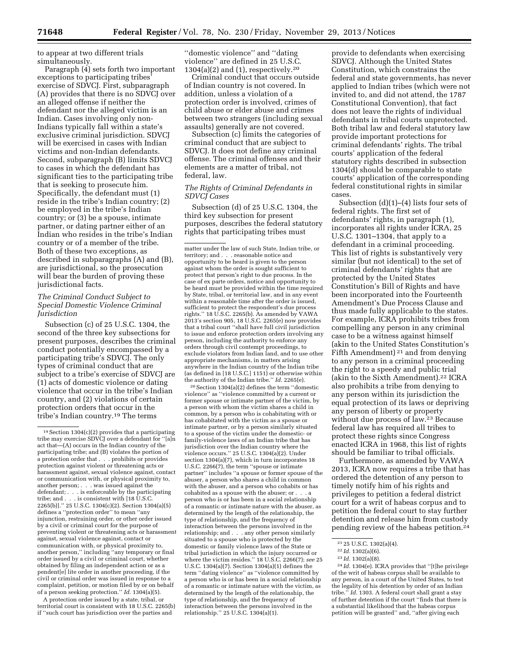to appear at two different trials simultaneously.

Paragraph (4) sets forth two important exceptions to participating tribes' exercise of SDVCJ. First, subparagraph (A) provides that there is no SDVCJ over an alleged offense if neither the defendant nor the alleged victim is an Indian. Cases involving only non-Indians typically fall within a state's exclusive criminal jurisdiction. SDVCJ will be exercised in cases with Indian victims and non-Indian defendants. Second, subparagraph (B) limits SDVCJ to cases in which the defendant has significant ties to the participating tribe that is seeking to prosecute him. Specifically, the defendant must (1) reside in the tribe's Indian country; (2) be employed in the tribe's Indian country; or (3) be a spouse, intimate partner, or dating partner either of an Indian who resides in the tribe's Indian country or of a member of the tribe. Both of these two exceptions, as described in subparagraphs (A) and (B), are jurisdictional, so the prosecution will bear the burden of proving these jurisdictional facts.

# *The Criminal Conduct Subject to Special Domestic Violence Criminal Jurisdiction*

Subsection (c) of 25 U.S.C. 1304, the second of the three key subsections for present purposes, describes the criminal conduct potentially encompassed by a participating tribe's SDVCJ. The only types of criminal conduct that are subject to a tribe's exercise of SDVCJ are (1) acts of domestic violence or dating violence that occur in the tribe's Indian country, and (2) violations of certain protection orders that occur in the tribe's Indian country.19 The terms

A protection order issued by a state, tribal, or territorial court is consistent with 18 U.S.C. 2265(b) if ''such court has jurisdiction over the parties and

''domestic violence'' and ''dating violence'' are defined in 25 U.S.C.  $1304(a)(2)$  and  $(1)$ , respectively.<sup>20</sup>

Criminal conduct that occurs outside of Indian country is not covered. In addition, unless a violation of a protection order is involved, crimes of child abuse or elder abuse and crimes between two strangers (including sexual assaults) generally are not covered.

Subsection (c) limits the categories of criminal conduct that are subject to SDVCJ. It does not define any criminal offense. The criminal offenses and their elements are a matter of tribal, not federal, law.

## *The Rights of Criminal Defendants in SDVCJ Cases*

Subsection (d) of 25 U.S.C. 1304, the third key subsection for present purposes, describes the federal statutory rights that participating tribes must

20Section 1304(a)(2) defines the term ''domestic violence'' as ''violence committed by a current or former spouse or intimate partner of the victim, by a person with whom the victim shares a child in common, by a person who is cohabitating with or has cohabitated with the victim as a spouse or intimate partner, or by a person similarly situated to a spouse of the victim under the domestic- or family-violence laws of an Indian tribe that has jurisdiction over the Indian country where the violence occurs.'' 25 U.S.C. 1304(a)(2). Under section 1304(a)(7), which in turn incorporates 18 U.S.C. 2266(7), the term ''spouse or intimate partner'' includes ''a spouse or former spouse of the abuser, a person who shares a child in common with the abuser, and a person who cohabits or has cohabited as a spouse with the abuser; or . . . a person who is or has been in a social relationship of a romantic or intimate nature with the abuser, as determined by the length of the relationship, the type of relationship, and the frequency of interaction between the persons involved in the relationship; and . . . any other person similarly situated to a spouse who is protected by the domestic or family violence laws of the State or tribal jurisdiction in which the injury occurred or where the victim resides.'' 18 U.S.C. 2266(7); *see* 25 U.S.C. 1304(a)(7). Section 1304(a)(1) defines the term ''dating violence'' as ''violence committed by a person who is or has been in a social relationship of a romantic or intimate nature with the victim, as determined by the length of the relationship, the type of relationship, and the frequency of interaction between the persons involved in the relationship.'' 25 U.S.C. 1304(a)(1).

provide to defendants when exercising SDVCJ. Although the United States Constitution, which constrains the federal and state governments, has never applied to Indian tribes (which were not invited to, and did not attend, the 1787 Constitutional Convention), that fact does not leave the rights of individual defendants in tribal courts unprotected. Both tribal law and federal statutory law provide important protections for criminal defendants' rights. The tribal courts' application of the federal statutory rights described in subsection 1304(d) should be comparable to state courts' application of the corresponding federal constitutional rights in similar cases.

Subsection  $(d)(1)$ – $(4)$  lists four sets of federal rights. The first set of defendants' rights, in paragraph (1), incorporates all rights under ICRA, 25 U.S.C. 1301–1304, that apply to a defendant in a criminal proceeding. This list of rights is substantively very similar (but not identical) to the set of criminal defendants' rights that are protected by the United States Constitution's Bill of Rights and have been incorporated into the Fourteenth Amendment's Due Process Clause and thus made fully applicable to the states. For example, ICRA prohibits tribes from compelling any person in any criminal case to be a witness against himself (akin to the United States Constitution's Fifth Amendment)<sup>21</sup> and from denying to any person in a criminal proceeding the right to a speedy and public trial (akin to the Sixth Amendment).22 ICRA also prohibits a tribe from denying to any person within its jurisdiction the equal protection of its laws or depriving any person of liberty or property without due process of law.23 Because federal law has required all tribes to protect these rights since Congress enacted ICRA in 1968, this list of rights should be familiar to tribal officials.

Furthermore, as amended by VAWA 2013, ICRA now requires a tribe that has ordered the detention of any person to timely notify him of his rights and privileges to petition a federal district court for a writ of habeas corpus and to petition the federal court to stay further detention and release him from custody pending review of the habeas petition.24

<sup>19</sup>Section 1304(c)(2) provides that a participating tribe may exercise SDVCJ over a defendant for ''[a]n act that—(A) occurs in the Indian country of the participating tribe; and (B) violates the portion of a protection order that . . . prohibits or provides protection against violent or threatening acts or harassment against, sexual violence against, contact or communication with, or physical proximity to, another person; . . . was issued against the defendant; . . . is enforceable by the participating tribe; and . . . is consistent with [18 U.S.C. 2265(b)].'' 25 U.S.C. 1304(c)(2). Section 1304(a)(5) defines a ''protection order'' to mean ''any injunction, restraining order, or other order issued by a civil or criminal court for the purpose of preventing violent or threatening acts or harassment against, sexual violence against, contact or communication with, or physical proximity to, another person,'' including ''any temporary or final order issued by a civil or criminal court, whether obtained by filing an independent action or as a pendent[e] lite order in another proceeding, if the civil or criminal order was issued in response to a complaint, petition, or motion filed by or on behalf of a person seeking protection.'' *Id.* 1304(a)(5).

matter under the law of such State, Indian tribe, or territory; and . . . reasonable notice and opportunity to be heard is given to the person against whom the order is sought sufficient to protect that person's right to due process. In the case of ex parte orders, notice and opportunity to be heard must be provided within the time required by State, tribal, or territorial law, and in any event within a reasonable time after the order is issued, sufficient to protect the respondent's due process rights." 18 U.S.C. 2265(b). As amended by VAWA 2013's section 905, 18 U.S.C. 2265(e) now provides that a tribal court ''shall have full civil jurisdiction to issue and enforce protection orders involving any person, including the authority to enforce any orders through civil contempt proceedings, to exclude violators from Indian land, and to use other appropriate mechanisms, in matters arising anywhere in the Indian country of the Indian tribe (as defined in [18 U.S.C.] 1151) or otherwise within the authority of the Indian tribe.'' *Id.* 2265(e).

 $21$  25 U.S.C. 1302(a)(4).

<sup>22</sup> *Id.* 1302(a)(6).

<sup>23</sup> *Id.* 1302(a)(8).

<sup>24</sup> *Id.* 1304(e). ICRA provides that ''[t]he privilege of the writ of habeas corpus shall be available to any person, in a court of the United States, to test the legality of his detention by order of an Indian tribe.'' *Id.* 1303. A federal court shall grant a stay of further detention if the court ''finds that there is a substantial likelihood that the habeas corpus petition will be granted'' and, ''after giving each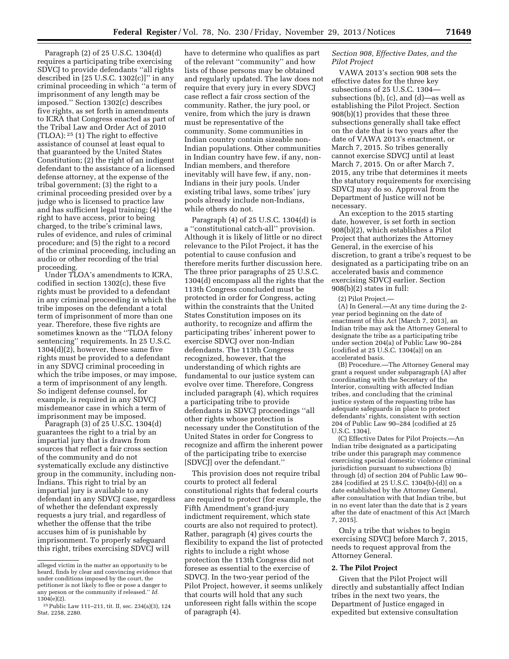Paragraph (2) of 25 U.S.C. 1304(d) requires a participating tribe exercising SDVCJ to provide defendants ''all rights described in  $[25 \text{ U.S.C. } 1302(c)]$ " in any criminal proceeding in which ''a term of imprisonment of any length may be imposed.'' Section 1302(c) describes five rights, as set forth in amendments to ICRA that Congress enacted as part of the Tribal Law and Order Act of 2010 (TLOA): 25 (1) The right to effective assistance of counsel at least equal to that guaranteed by the United States Constitution; (2) the right of an indigent defendant to the assistance of a licensed defense attorney, at the expense of the tribal government; (3) the right to a criminal proceeding presided over by a judge who is licensed to practice law and has sufficient legal training; (4) the right to have access, prior to being charged, to the tribe's criminal laws, rules of evidence, and rules of criminal procedure; and (5) the right to a record of the criminal proceeding, including an audio or other recording of the trial proceeding.

Under TLOA's amendments to ICRA, codified in section 1302(c), these five rights must be provided to a defendant in any criminal proceeding in which the tribe imposes on the defendant a total term of imprisonment of more than one year. Therefore, these five rights are sometimes known as the "TLOA felony sentencing'' requirements. In 25 U.S.C. 1304(d)(2), however, these same five rights must be provided to a defendant in any SDVCJ criminal proceeding in which the tribe imposes, or may impose, a term of imprisonment of any length. So indigent defense counsel, for example, is required in any SDVC misdemeanor case in which a term of imprisonment may be imposed.

Paragraph (3) of 25 U.S.C. 1304(d) guarantees the right to a trial by an impartial jury that is drawn from sources that reflect a fair cross section of the community and do not systematically exclude any distinctive group in the community, including non-Indians. This right to trial by an impartial jury is available to any defendant in any SDVCJ case, regardless of whether the defendant expressly requests a jury trial, and regardless of whether the offense that the tribe accuses him of is punishable by imprisonment. To properly safeguard this right, tribes exercising SDVCJ will

have to determine who qualifies as part of the relevant ''community'' and how lists of those persons may be obtained and regularly updated. The law does not require that every jury in every SDVCJ case reflect a fair cross section of the community. Rather, the jury pool, or venire, from which the jury is drawn must be representative of the community. Some communities in Indian country contain sizeable non-Indian populations. Other communities in Indian country have few, if any, non-Indian members, and therefore inevitably will have few, if any, non-Indians in their jury pools. Under existing tribal laws, some tribes' jury pools already include non-Indians, while others do not.

Paragraph (4) of 25 U.S.C. 1304(d) is a ''constitutional catch-all'' provision. Although it is likely of little or no direct relevance to the Pilot Project, it has the potential to cause confusion and therefore merits further discussion here. The three prior paragraphs of 25 U.S.C. 1304(d) encompass all the rights that the 113th Congress concluded must be protected in order for Congress, acting within the constraints that the United States Constitution imposes on its authority, to recognize and affirm the participating tribes' inherent power to exercise SDVCJ over non-Indian defendants. The 113th Congress recognized, however, that the understanding of which rights are fundamental to our justice system can evolve over time. Therefore, Congress included paragraph (4), which requires a participating tribe to provide defendants in SDVCJ proceedings ''all other rights whose protection is necessary under the Constitution of the United States in order for Congress to recognize and affirm the inherent power of the participating tribe to exercise [SDVCJ] over the defendant.''

This provision does not require tribal courts to protect all federal constitutional rights that federal courts are required to protect (for example, the Fifth Amendment's grand-jury indictment requirement, which state courts are also not required to protect). Rather, paragraph (4) gives courts the flexibility to expand the list of protected rights to include a right whose protection the 113th Congress did not foresee as essential to the exercise of SDVCJ. In the two-year period of the Pilot Project, however, it seems unlikely that courts will hold that any such unforeseen right falls within the scope of paragraph (4).

# *Section 908, Effective Dates, and the Pilot Project*

VAWA 2013's section 908 sets the effective dates for the three key subsections of 25 U.S.C. 1304 subsections (b), (c), and (d)—as well as establishing the Pilot Project. Section 908(b)(1) provides that these three subsections generally shall take effect on the date that is two years after the date of VAWA 2013's enactment, or March 7, 2015. So tribes generally cannot exercise SDVCJ until at least March 7, 2015. On or after March 7, 2015, any tribe that determines it meets the statutory requirements for exercising SDVCJ may do so. Approval from the Department of Justice will not be necessary.

An exception to the 2015 starting date, however, is set forth in section 908(b)(2), which establishes a Pilot Project that authorizes the Attorney General, in the exercise of his discretion, to grant a tribe's request to be designated as a participating tribe on an accelerated basis and commence exercising SDVCJ earlier. Section 908(b)(2) states in full:

(2) Pilot Project.—

(A) In General.—At any time during the 2 year period beginning on the date of enactment of this Act [March 7, 2013], an Indian tribe may ask the Attorney General to designate the tribe as a participating tribe under section 204(a) of Public Law 90–284 [codified at 25 U.S.C. 1304(a)] on an accelerated basis.

(B) Procedure.—The Attorney General may grant a request under subparagraph (A) after coordinating with the Secretary of the Interior, consulting with affected Indian tribes, and concluding that the criminal justice system of the requesting tribe has adequate safeguards in place to protect defendants' rights, consistent with section 204 of Public Law 90–284 [codified at 25 U.S.C. 1304].

(C) Effective Dates for Pilot Projects.—An Indian tribe designated as a participating tribe under this paragraph may commence exercising special domestic violence criminal jurisdiction pursuant to subsections (b) through (d) of section 204 of Public Law 90– 284 [codified at 25 U.S.C. 1304(b)-(d)] on a date established by the Attorney General, after consultation with that Indian tribe, but in no event later than the date that is 2 years after the date of enactment of this Act [March 7, 2015].

Only a tribe that wishes to begin exercising SDVCJ before March 7, 2015, needs to request approval from the Attorney General.

## **2. The Pilot Project**

Given that the Pilot Project will directly and substantially affect Indian tribes in the next two years, the Department of Justice engaged in expedited but extensive consultation

alleged victim in the matter an opportunity to be heard, finds by clear and convincing evidence that under conditions imposed by the court, the petitioner is not likely to flee or pose a danger to any person or the community if released.'' *Id.*  1304(e)(2).

<sup>25</sup>Public Law 111–211, tit. II, sec. 234(a)(3), 124 Stat. 2258, 2280.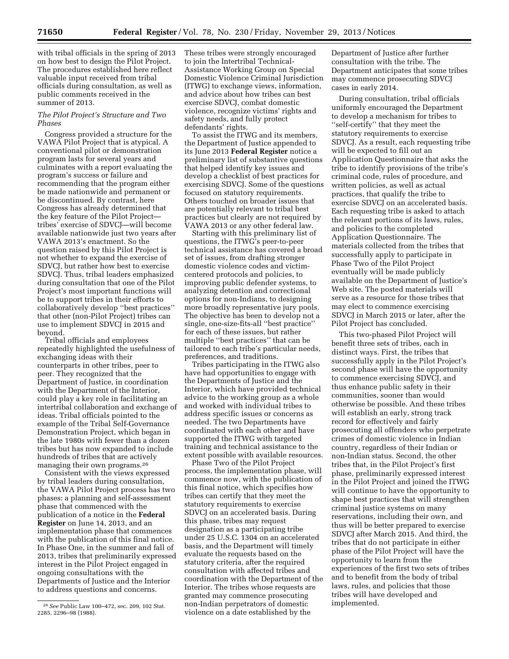with tribal officials in the spring of 2013 on how best to design the Pilot Project. The procedures established here reflect valuable input received from tribal officials during consultation, as well as public comments received in the summer of 2013.

# *The Pilot Project's Structure and Two Phases*

Congress provided a structure for the VAWA Pilot Project that is atypical. A conventional pilot or demonstration program lasts for several years and culminates with a report evaluating the program's success or failure and recommending that the program either be made nationwide and permanent or be discontinued. By contrast, here Congress has already determined that the key feature of the Pilot Project tribes' exercise of SDVCJ—will become available nationwide just two years after VAWA 2013's enactment. So the question raised by this Pilot Project is not whether to expand the exercise of SDVCJ, but rather how best to exercise SDVCJ. Thus, tribal leaders emphasized during consultation that one of the Pilot Project's most important functions will be to support tribes in their efforts to collaboratively develop ''best practices'' that other (non-Pilot Project) tribes can use to implement SDVCJ in 2015 and beyond.

Tribal officials and employees repeatedly highlighted the usefulness of exchanging ideas with their counterparts in other tribes, peer to peer. They recognized that the Department of Justice, in coordination with the Department of the Interior, could play a key role in facilitating an intertribal collaboration and exchange of ideas. Tribal officials pointed to the example of the Tribal Self-Governance Demonstration Project, which began in the late 1980s with fewer than a dozen tribes but has now expanded to include hundreds of tribes that are actively managing their own programs.26

Consistent with the views expressed by tribal leaders during consultation, the VAWA Pilot Project process has two phases: a planning and self-assessment phase that commenced with the publication of a notice in the **Federal Register** on June 14, 2013, and an implementation phase that commences with the publication of this final notice. In Phase One, in the summer and fall of 2013, tribes that preliminarily expressed interest in the Pilot Project engaged in ongoing consultations with the Departments of Justice and the Interior to address questions and concerns.

These tribes were strongly encouraged to join the Intertribal Technical-Assistance Working Group on Special Domestic Violence Criminal Jurisdiction (ITWG) to exchange views, information, and advice about how tribes can best exercise SDVCJ, combat domestic violence, recognize victims' rights and safety needs, and fully protect defendants' rights.

To assist the ITWG and its members, the Department of Justice appended to its June 2013 **Federal Register** notice a preliminary list of substantive questions that helped identify key issues and develop a checklist of best practices for exercising SDVCJ. Some of the questions focused on statutory requirements. Others touched on broader issues that are potentially relevant to tribal best practices but clearly are not required by VAWA 2013 or any other federal law.

Starting with this preliminary list of questions, the ITWG's peer-to-peer technical assistance has covered a broad set of issues, from drafting stronger domestic violence codes and victimcentered protocols and policies, to improving public defender systems, to analyzing detention and correctional options for non-Indians, to designing more broadly representative jury pools. The objective has been to develop not a single, one-size-fits-all ''best practice'' for each of these issues, but rather multiple ''best practices'' that can be tailored to each tribe's particular needs, preferences, and traditions.

Tribes participating in the ITWG also have had opportunities to engage with the Departments of Justice and the Interior, which have provided technical advice to the working group as a whole and worked with individual tribes to address specific issues or concerns as needed. The two Departments have coordinated with each other and have supported the ITWG with targeted training and technical assistance to the extent possible with available resources.

Phase Two of the Pilot Project process, the implementation phase, will commence now, with the publication of this final notice, which specifies how tribes can certify that they meet the statutory requirements to exercise SDVCJ on an accelerated basis. During this phase, tribes may request designation as a participating tribe under 25 U.S.C. 1304 on an accelerated basis, and the Department will timely evaluate the requests based on the statutory criteria, after the required consultation with affected tribes and coordination with the Department of the Interior. The tribes whose requests are granted may commence prosecuting non-Indian perpetrators of domestic violence on a date established by the

Department of Justice after further consultation with the tribe. The Department anticipates that some tribes may commence prosecuting SDVCJ cases in early 2014.

During consultation, tribal officials uniformly encouraged the Department to develop a mechanism for tribes to ''self-certify'' that they meet the statutory requirements to exercise SDVCJ. As a result, each requesting tribe will be expected to fill out an Application Questionnaire that asks the tribe to identify provisions of the tribe's criminal code, rules of procedure, and written policies, as well as actual practices, that qualify the tribe to exercise SDVCJ on an accelerated basis. Each requesting tribe is asked to attach the relevant portions of its laws, rules, and policies to the completed Application Questionnaire. The materials collected from the tribes that successfully apply to participate in Phase Two of the Pilot Project eventually will be made publicly available on the Department of Justice's Web site. The posted materials will serve as a resource for those tribes that may elect to commence exercising SDVCJ in March 2015 or later, after the Pilot Project has concluded.

This two-phased Pilot Project will benefit three sets of tribes, each in distinct ways. First, the tribes that successfully apply in the Pilot Project's second phase will have the opportunity to commence exercising SDVCJ, and thus enhance public safety in their communities, sooner than would otherwise be possible. And these tribes will establish an early, strong track record for effectively and fairly prosecuting all offenders who perpetrate crimes of domestic violence in Indian country, regardless of their Indian or non-Indian status. Second, the other tribes that, in the Pilot Project's first phase, preliminarily expressed interest in the Pilot Project and joined the ITWG will continue to have the opportunity to shape best practices that will strengthen criminal justice systems on many reservations, including their own, and thus will be better prepared to exercise SDVCJ after March 2015. And third, the tribes that do not participate in either phase of the Pilot Project will have the opportunity to learn from the experiences of the first two sets of tribes and to benefit from the body of tribal laws, rules, and policies that those tribes will have developed and implemented.

<sup>26</sup>*See* Public Law 100–472, sec. 209, 102 Stat. 2285, 2296–98 (1988).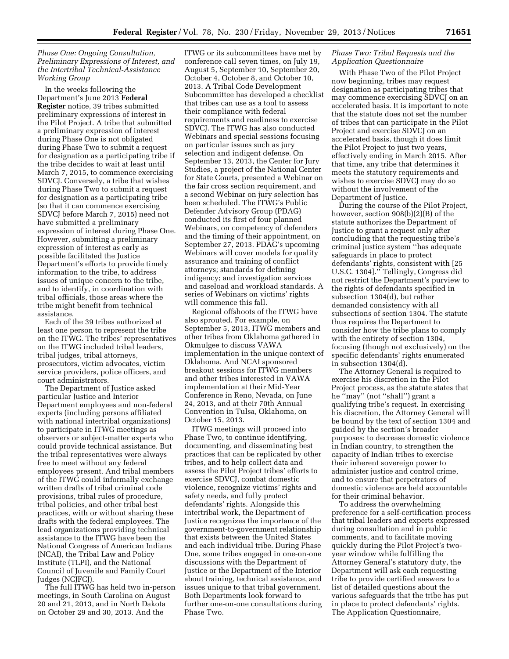# *Phase One: Ongoing Consultation, Preliminary Expressions of Interest, and the Intertribal Technical-Assistance Working Group*

In the weeks following the Department's June 2013 **Federal Register** notice, 39 tribes submitted preliminary expressions of interest in the Pilot Project. A tribe that submitted a preliminary expression of interest during Phase One is not obligated during Phase Two to submit a request for designation as a participating tribe if the tribe decides to wait at least until March 7, 2015, to commence exercising SDVCJ. Conversely, a tribe that wishes during Phase Two to submit a request for designation as a participating tribe (so that it can commence exercising SDVCJ before March 7, 2015) need not have submitted a preliminary expression of interest during Phase One. However, submitting a preliminary expression of interest as early as possible facilitated the Justice Department's efforts to provide timely information to the tribe, to address issues of unique concern to the tribe, and to identify, in coordination with tribal officials, those areas where the tribe might benefit from technical assistance.

Each of the 39 tribes authorized at least one person to represent the tribe on the ITWG. The tribes' representatives on the ITWG included tribal leaders, tribal judges, tribal attorneys, prosecutors, victim advocates, victim service providers, police officers, and court administrators.

The Department of Justice asked particular Justice and Interior Department employees and non-federal experts (including persons affiliated with national intertribal organizations) to participate in ITWG meetings as observers or subject-matter experts who could provide technical assistance. But the tribal representatives were always free to meet without any federal employees present. And tribal members of the ITWG could informally exchange written drafts of tribal criminal code provisions, tribal rules of procedure, tribal policies, and other tribal best practices, with or without sharing these drafts with the federal employees. The lead organizations providing technical assistance to the ITWG have been the National Congress of American Indians (NCAI), the Tribal Law and Policy Institute (TLPI), and the National Council of Juvenile and Family Court Judges (NCJFCJ).

The full ITWG has held two in-person meetings, in South Carolina on August 20 and 21, 2013, and in North Dakota on October 29 and 30, 2013. And the

ITWG or its subcommittees have met by conference call seven times, on July 19, August 5, September 10, September 20, October 4, October 8, and October 10, 2013. A Tribal Code Development Subcommittee has developed a checklist that tribes can use as a tool to assess their compliance with federal requirements and readiness to exercise SDVCJ. The ITWG has also conducted Webinars and special sessions focusing on particular issues such as jury selection and indigent defense. On September 13, 2013, the Center for Jury Studies, a project of the National Center for State Courts, presented a Webinar on the fair cross section requirement, and a second Webinar on jury selection has been scheduled. The ITWG's Public Defender Advisory Group (PDAG) conducted its first of four planned Webinars, on competency of defenders and the timing of their appointment, on September 27, 2013. PDAG's upcoming Webinars will cover models for quality assurance and training of conflict attorneys; standards for defining indigency; and investigation services and caseload and workload standards. A series of Webinars on victims' rights will commence this fall.

Regional offshoots of the ITWG have also sprouted. For example, on September 5, 2013, ITWG members and other tribes from Oklahoma gathered in Okmulgee to discuss VAWA implementation in the unique context of Oklahoma. And NCAI sponsored breakout sessions for ITWG members and other tribes interested in VAWA implementation at their Mid-Year Conference in Reno, Nevada, on June 24, 2013, and at their 70th Annual Convention in Tulsa, Oklahoma, on October 15, 2013.

ITWG meetings will proceed into Phase Two, to continue identifying, documenting, and disseminating best practices that can be replicated by other tribes, and to help collect data and assess the Pilot Project tribes' efforts to exercise SDVCJ, combat domestic violence, recognize victims' rights and safety needs, and fully protect defendants' rights. Alongside this intertribal work, the Department of Justice recognizes the importance of the government-to-government relationship that exists between the United States and each individual tribe. During Phase One, some tribes engaged in one-on-one discussions with the Department of Justice or the Department of the Interior about training, technical assistance, and issues unique to that tribal government. Both Departments look forward to further one-on-one consultations during Phase Two.

## *Phase Two: Tribal Requests and the Application Questionnaire*

With Phase Two of the Pilot Project now beginning, tribes may request designation as participating tribes that may commence exercising SDVCJ on an accelerated basis. It is important to note that the statute does not set the number of tribes that can participate in the Pilot Project and exercise SDVCJ on an accelerated basis, though it does limit the Pilot Project to just two years, effectively ending in March 2015. After that time, any tribe that determines it meets the statutory requirements and wishes to exercise SDVCJ may do so without the involvement of the Department of Justice.

During the course of the Pilot Project, however, section 908(b)(2)(B) of the statute authorizes the Department of Justice to grant a request only after concluding that the requesting tribe's criminal justice system ''has adequate safeguards in place to protect defendants' rights, consistent with [25 U.S.C. 1304].'' Tellingly, Congress did not restrict the Department's purview to the rights of defendants specified in subsection 1304(d), but rather demanded consistency with all subsections of section 1304. The statute thus requires the Department to consider how the tribe plans to comply with the entirety of section 1304, focusing (though not exclusively) on the specific defendants' rights enumerated in subsection 1304(d).

The Attorney General is required to exercise his discretion in the Pilot Project process, as the statute states that he ''may'' (not ''shall'') grant a qualifying tribe's request. In exercising his discretion, the Attorney General will be bound by the text of section 1304 and guided by the section's broader purposes: to decrease domestic violence in Indian country, to strengthen the capacity of Indian tribes to exercise their inherent sovereign power to administer justice and control crime, and to ensure that perpetrators of domestic violence are held accountable for their criminal behavior.

To address the overwhelming preference for a self-certification process that tribal leaders and experts expressed during consultation and in public comments, and to facilitate moving quickly during the Pilot Project's twoyear window while fulfilling the Attorney General's statutory duty, the Department will ask each requesting tribe to provide certified answers to a list of detailed questions about the various safeguards that the tribe has put in place to protect defendants' rights. The Application Questionnaire,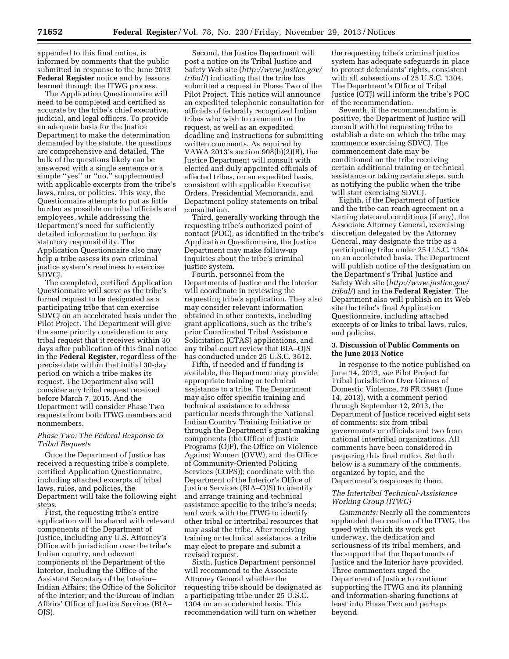appended to this final notice, is informed by comments that the public submitted in response to the June 2013 **Federal Register** notice and by lessons learned through the ITWG process.

The Application Questionnaire will need to be completed and certified as accurate by the tribe's chief executive, judicial, and legal officers. To provide an adequate basis for the Justice Department to make the determination demanded by the statute, the questions are comprehensive and detailed. The bulk of the questions likely can be answered with a single sentence or a simple ''yes'' or ''no,'' supplemented with applicable excerpts from the tribe's laws, rules, or policies. This way, the Questionnaire attempts to put as little burden as possible on tribal officials and employees, while addressing the Department's need for sufficiently detailed information to perform its statutory responsibility. The Application Questionnaire also may help a tribe assess its own criminal justice system's readiness to exercise SDVCJ.

The completed, certified Application Questionnaire will serve as the tribe's formal request to be designated as a participating tribe that can exercise SDVCJ on an accelerated basis under the Pilot Project. The Department will give the same priority consideration to any tribal request that it receives within 30 days after publication of this final notice in the **Federal Register**, regardless of the precise date within that initial 30-day period on which a tribe makes its request. The Department also will consider any tribal request received before March 7, 2015. And the Department will consider Phase Two requests from both ITWG members and nonmembers.

# *Phase Two: The Federal Response to Tribal Requests*

Once the Department of Justice has received a requesting tribe's complete, certified Application Questionnaire, including attached excerpts of tribal laws, rules, and policies, the Department will take the following eight steps.

First, the requesting tribe's entire application will be shared with relevant components of the Department of Justice, including any U.S. Attorney's Office with jurisdiction over the tribe's Indian country, and relevant components of the Department of the Interior, including the Office of the Assistant Secretary of the Interior– Indian Affairs; the Office of the Solicitor of the Interior; and the Bureau of Indian Affairs' Office of Justice Services (BIA– OJS).

Second, the Justice Department will post a notice on its Tribal Justice and Safety Web site (*[http://www.justice.gov/](http://www.justice.gov/tribal/) [tribal/](http://www.justice.gov/tribal/)*) indicating that the tribe has submitted a request in Phase Two of the Pilot Project. This notice will announce an expedited telephonic consultation for officials of federally recognized Indian tribes who wish to comment on the request, as well as an expedited deadline and instructions for submitting written comments. As required by VAWA 2013's section 908(b)(2)(B), the Justice Department will consult with elected and duly appointed officials of affected tribes, on an expedited basis, consistent with applicable Executive Orders, Presidential Memoranda, and Department policy statements on tribal consultation.

Third, generally working through the requesting tribe's authorized point of contact (POC), as identified in the tribe's Application Questionnaire, the Justice Department may make follow-up inquiries about the tribe's criminal justice system.

Fourth, personnel from the Departments of Justice and the Interior will coordinate in reviewing the requesting tribe's application. They also may consider relevant information obtained in other contexts, including grant applications, such as the tribe's prior Coordinated Tribal Assistance Solicitation (CTAS) applications, and any tribal-court review that BIA–OJS has conducted under 25 U.S.C. 3612.

Fifth, if needed and if funding is available, the Department may provide appropriate training or technical assistance to a tribe. The Department may also offer specific training and technical assistance to address particular needs through the National Indian Country Training Initiative or through the Department's grant-making components (the Office of Justice Programs (OJP), the Office on Violence Against Women (OVW), and the Office of Community-Oriented Policing Services (COPS)); coordinate with the Department of the Interior's Office of Justice Services (BIA–OJS) to identify and arrange training and technical assistance specific to the tribe's needs; and work with the ITWG to identify other tribal or intertribal resources that may assist the tribe. After receiving training or technical assistance, a tribe may elect to prepare and submit a revised request.

Sixth, Justice Department personnel will recommend to the Associate Attorney General whether the requesting tribe should be designated as a participating tribe under 25 U.S.C. 1304 on an accelerated basis. This recommendation will turn on whether

the requesting tribe's criminal justice system has adequate safeguards in place to protect defendants' rights, consistent with all subsections of 25 U.S.C. 1304. The Department's Office of Tribal Justice (OTJ) will inform the tribe's POC of the recommendation.

Seventh, if the recommendation is positive, the Department of Justice will consult with the requesting tribe to establish a date on which the tribe may commence exercising SDVCJ. The commencement date may be conditioned on the tribe receiving certain additional training or technical assistance or taking certain steps, such as notifying the public when the tribe will start exercising SDVCJ.

Eighth, if the Department of Justice and the tribe can reach agreement on a starting date and conditions (if any), the Associate Attorney General, exercising discretion delegated by the Attorney General, may designate the tribe as a participating tribe under 25 U.S.C. 1304 on an accelerated basis. The Department will publish notice of the designation on the Department's Tribal Justice and Safety Web site (*[http://www.justice.gov/](http://www.justice.gov/tribal/) [tribal/](http://www.justice.gov/tribal/)*) and in the **Federal Register**. The Department also will publish on its Web site the tribe's final Application Questionnaire, including attached excerpts of or links to tribal laws, rules, and policies.

## **3. Discussion of Public Comments on the June 2013 Notice**

In response to the notice published on June 14, 2013, *see* Pilot Project for Tribal Jurisdiction Over Crimes of Domestic Violence, 78 FR 35961 (June 14, 2013), with a comment period through September 12, 2013, the Department of Justice received eight sets of comments: six from tribal governments or officials and two from national intertribal organizations. All comments have been considered in preparing this final notice. Set forth below is a summary of the comments, organized by topic, and the Department's responses to them.

# *The Intertribal Technical-Assistance Working Group (ITWG)*

*Comments:* Nearly all the commenters applauded the creation of the ITWG, the speed with which its work got underway, the dedication and seriousness of its tribal members, and the support that the Departments of Justice and the Interior have provided. Three commenters urged the Department of Justice to continue supporting the ITWG and its planning and information-sharing functions at least into Phase Two and perhaps beyond.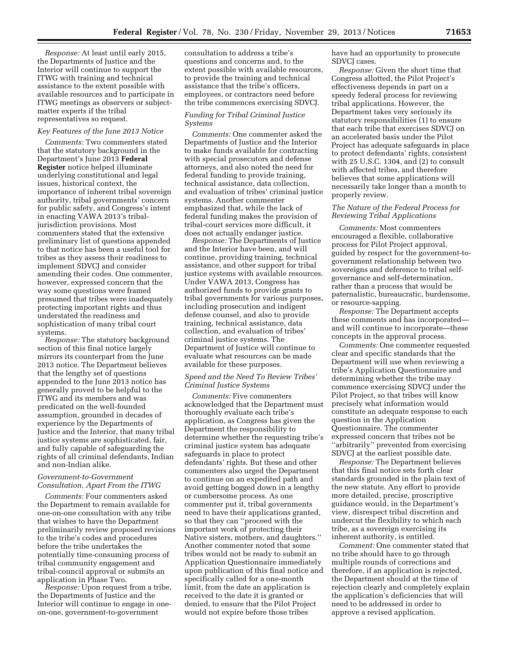*Response:* At least until early 2015, the Departments of Justice and the Interior will continue to support the ITWG with training and technical assistance to the extent possible with available resources and to participate in ITWG meetings as observers or subjectmatter experts if the tribal representatives so request.

## *Key Features of the June 2013 Notice*

*Comments:* Two commenters stated that the statutory background in the Department's June 2013 **Federal Register** notice helped illuminate underlying constitutional and legal issues, historical context, the importance of inherent tribal sovereign authority, tribal governments' concern for public safety, and Congress's intent in enacting VAWA 2013's tribaljurisdiction provisions. Most commenters stated that the extensive preliminary list of questions appended to that notice has been a useful tool for tribes as they assess their readiness to implement SDVCJ and consider amending their codes. One commenter, however, expressed concern that the way some questions were framed presumed that tribes were inadequately protecting important rights and thus understated the readiness and sophistication of many tribal court systems.

*Response:* The statutory background section of this final notice largely mirrors its counterpart from the June 2013 notice. The Department believes that the lengthy set of questions appended to the June 2013 notice has generally proved to be helpful to the ITWG and its members and was predicated on the well-founded assumption, grounded in decades of experience by the Departments of Justice and the Interior, that many tribal justice systems are sophisticated, fair, and fully capable of safeguarding the rights of all criminal defendants, Indian and non-Indian alike.

## *Government-to-Government Consultation, Apart From the ITWG*

*Comments:* Four commenters asked the Department to remain available for one-on-one consultation with any tribe that wishes to have the Department preliminarily review proposed revisions to the tribe's codes and procedures before the tribe undertakes the potentially time-consuming process of tribal community engagement and tribal-council approval or submits an application in Phase Two.

*Response:* Upon request from a tribe, the Departments of Justice and the Interior will continue to engage in oneon-one, government-to-government

consultation to address a tribe's questions and concerns and, to the extent possible with available resources, to provide the training and technical assistance that the tribe's officers, employees, or contractors need before the tribe commences exercising SDVCJ.

# *Funding for Tribal Criminal Justice Systems*

*Comments:* One commenter asked the Departments of Justice and the Interior to make funds available for contracting with special prosecutors and defense attorneys, and also noted the need for federal funding to provide training, technical assistance, data collection, and evaluation of tribes' criminal justice systems. Another commenter emphasized that, while the lack of federal funding makes the provision of tribal-court services more difficult, it does not actually endanger justice.

*Response:* The Departments of Justice and the Interior have been, and will continue, providing training, technical assistance, and other support for tribal justice systems with available resources. Under VAWA 2013, Congress has authorized funds to provide grants to tribal governments for various purposes, including prosecution and indigent defense counsel, and also to provide training, technical assistance, data collection, and evaluation of tribes' criminal justice systems. The Department of Justice will continue to evaluate what resources can be made available for these purposes.

## *Speed and the Need To Review Tribes' Criminal Justice Systems*

*Comments:* Five commenters acknowledged that the Department must thoroughly evaluate each tribe's application, as Congress has given the Department the responsibility to determine whether the requesting tribe's criminal justice system has adequate safeguards in place to protect defendants' rights. But these and other commenters also urged the Department to continue on an expedited path and avoid getting bogged down in a lengthy or cumbersome process. As one commenter put it, tribal governments need to have their applications granted, so that they can ''proceed with the important work of protecting their Native sisters, mothers, and daughters.'' Another commenter noted that some tribes would not be ready to submit an Application Questionnaire immediately upon publication of this final notice and specifically called for a one-month limit, from the date an application is received to the date it is granted or denied, to ensure that the Pilot Project would not expire before those tribes

have had an opportunity to prosecute SDVCJ cases.

*Response:* Given the short time that Congress allotted, the Pilot Project's effectiveness depends in part on a speedy federal process for reviewing tribal applications. However, the Department takes very seriously its statutory responsibilities (1) to ensure that each tribe that exercises SDVCJ on an accelerated basis under the Pilot Project has adequate safeguards in place to protect defendants' rights, consistent with 25 U.S.C. 1304, and (2) to consult with affected tribes, and therefore believes that some applications will necessarily take longer than a month to properly review.

## *The Nature of the Federal Process for Reviewing Tribal Applications*

*Comments:* Most commenters encouraged a flexible, collaborative process for Pilot Project approval, guided by respect for the government-togovernment relationship between two sovereigns and deference to tribal selfgovernance and self-determination, rather than a process that would be paternalistic, bureaucratic, burdensome, or resource-sapping.

*Response:* The Department accepts these comments and has incorporated and will continue to incorporate—these concepts in the approval process.

*Comments:* One commenter requested clear and specific standards that the Department will use when reviewing a tribe's Application Questionnaire and determining whether the tribe may commence exercising SDVCJ under the Pilot Project, so that tribes will know precisely what information would constitute an adequate response to each question in the Application Questionnaire. The commenter expressed concern that tribes not be ''arbitrarily'' prevented from exercising SDVCJ at the earliest possible date.

*Response:* The Department believes that this final notice sets forth clear standards grounded in the plain text of the new statute. Any effort to provide more detailed, precise, proscriptive guidance would, in the Department's view, disrespect tribal discretion and undercut the flexibility to which each tribe, as a sovereign exercising its inherent authority, is entitled.

*Comment:* One commenter stated that no tribe should have to go through multiple rounds of corrections and therefore, if an application is rejected, the Department should at the time of rejection clearly and completely explain the application's deficiencies that will need to be addressed in order to approve a revised application.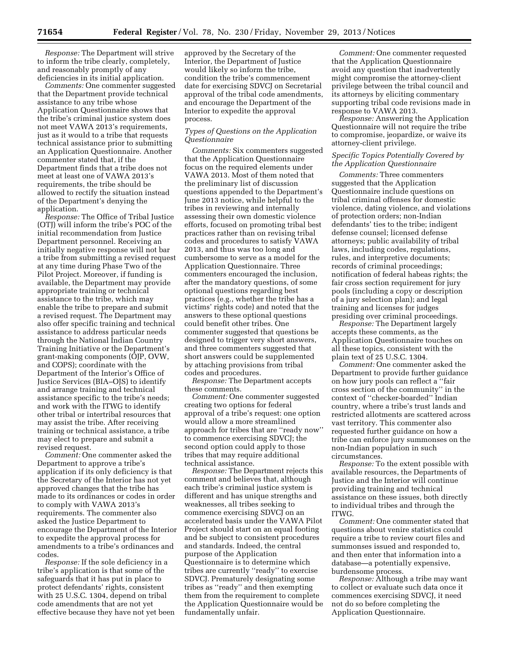*Response:* The Department will strive to inform the tribe clearly, completely, and reasonably promptly of any deficiencies in its initial application.

*Comments:* One commenter suggested that the Department provide technical assistance to any tribe whose Application Questionnaire shows that the tribe's criminal justice system does not meet VAWA 2013's requirements, just as it would to a tribe that requests technical assistance prior to submitting an Application Questionnaire. Another commenter stated that, if the Department finds that a tribe does not meet at least one of VAWA 2013's requirements, the tribe should be allowed to rectify the situation instead of the Department's denying the application.

*Response:* The Office of Tribal Justice (OTJ) will inform the tribe's POC of the initial recommendation from Justice Department personnel. Receiving an initially negative response will not bar a tribe from submitting a revised request at any time during Phase Two of the Pilot Project. Moreover, if funding is available, the Department may provide appropriate training or technical assistance to the tribe, which may enable the tribe to prepare and submit a revised request. The Department may also offer specific training and technical assistance to address particular needs through the National Indian Country Training Initiative or the Department's grant-making components (OJP, OVW, and COPS); coordinate with the Department of the Interior's Office of Justice Services (BIA–OJS) to identify and arrange training and technical assistance specific to the tribe's needs; and work with the ITWG to identify other tribal or intertribal resources that may assist the tribe. After receiving training or technical assistance, a tribe may elect to prepare and submit a revised request.

*Comment:* One commenter asked the Department to approve a tribe's application if its only deficiency is that the Secretary of the Interior has not yet approved changes that the tribe has made to its ordinances or codes in order to comply with VAWA 2013's requirements. The commenter also asked the Justice Department to encourage the Department of the Interior to expedite the approval process for amendments to a tribe's ordinances and codes.

*Response:* If the sole deficiency in a tribe's application is that some of the safeguards that it has put in place to protect defendants' rights, consistent with 25 U.S.C. 1304, depend on tribal code amendments that are not yet effective because they have not yet been approved by the Secretary of the Interior, the Department of Justice would likely so inform the tribe, condition the tribe's commencement date for exercising SDVCJ on Secretarial approval of the tribal code amendments, and encourage the Department of the Interior to expedite the approval process.

# *Types of Questions on the Application Questionnaire*

*Comments:* Six commenters suggested that the Application Questionnaire focus on the required elements under VAWA 2013. Most of them noted that the preliminary list of discussion questions appended to the Department's June 2013 notice, while helpful to the tribes in reviewing and internally assessing their own domestic violence efforts, focused on promoting tribal best practices rather than on revising tribal codes and procedures to satisfy VAWA 2013, and thus was too long and cumbersome to serve as a model for the Application Questionnaire. Three commenters encouraged the inclusion, after the mandatory questions, of some optional questions regarding best practices (e.g., whether the tribe has a victims' rights code) and noted that the answers to these optional questions could benefit other tribes. One commenter suggested that questions be designed to trigger very short answers, and three commenters suggested that short answers could be supplemented by attaching provisions from tribal codes and procedures.

*Response:* The Department accepts these comments.

*Comment:* One commenter suggested creating two options for federal approval of a tribe's request: one option would allow a more streamlined approach for tribes that are ''ready now'' to commence exercising SDVCJ; the second option could apply to those tribes that may require additional technical assistance.

*Response:* The Department rejects this comment and believes that, although each tribe's criminal justice system is different and has unique strengths and weaknesses, all tribes seeking to commence exercising SDVCJ on an accelerated basis under the VAWA Pilot Project should start on an equal footing and be subject to consistent procedures and standards. Indeed, the central purpose of the Application Questionnaire is to determine which tribes are currently ''ready'' to exercise SDVCJ. Prematurely designating some tribes as ''ready'' and then exempting them from the requirement to complete the Application Questionnaire would be fundamentally unfair.

*Comment:* One commenter requested that the Application Questionnaire avoid any question that inadvertently might compromise the attorney-client privilege between the tribal council and its attorneys by eliciting commentary supporting tribal code revisions made in response to VAWA 2013.

*Response:* Answering the Application Questionnaire will not require the tribe to compromise, jeopardize, or waive its attorney-client privilege.

## *Specific Topics Potentially Covered by the Application Questionnaire*

*Comments:* Three commenters suggested that the Application Questionnaire include questions on tribal criminal offenses for domestic violence, dating violence, and violations of protection orders; non-Indian defendants' ties to the tribe; indigent defense counsel; licensed defense attorneys; public availability of tribal laws, including codes, regulations, rules, and interpretive documents; records of criminal proceedings; notification of federal habeas rights; the fair cross section requirement for jury pools (including a copy or description of a jury selection plan); and legal training and licenses for judges presiding over criminal proceedings.

*Response:* The Department largely accepts these comments, as the Application Questionnaire touches on all these topics, consistent with the plain text of 25 U.S.C. 1304.

*Comment:* One commenter asked the Department to provide further guidance on how jury pools can reflect a ''fair cross section of the community'' in the context of ''checker-boarded'' Indian country, where a tribe's trust lands and restricted allotments are scattered across vast territory. This commenter also requested further guidance on how a tribe can enforce jury summonses on the non-Indian population in such circumstances.

*Response:* To the extent possible with available resources, the Departments of Justice and the Interior will continue providing training and technical assistance on these issues, both directly to individual tribes and through the ITWG.

*Comment:* One commenter stated that questions about venire statistics could require a tribe to review court files and summonses issued and responded to, and then enter that information into a database—a potentially expensive, burdensome process.

*Response:* Although a tribe may want to collect or evaluate such data once it commences exercising SDVCJ, it need not do so before completing the Application Questionnaire.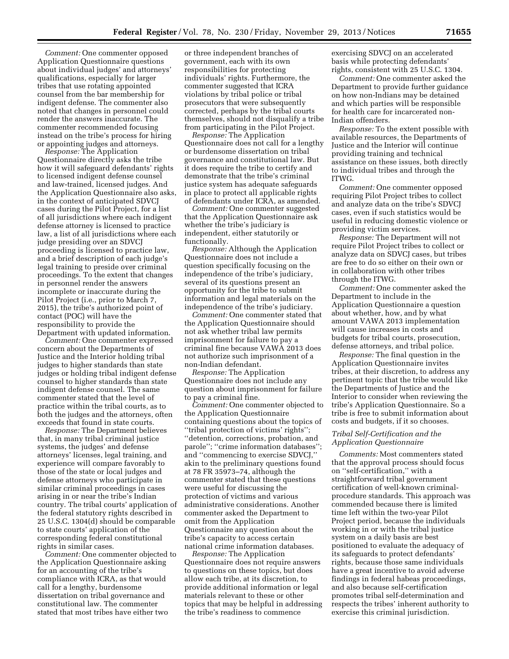*Comment:* One commenter opposed Application Questionnaire questions about individual judges' and attorneys' qualifications, especially for larger tribes that use rotating appointed counsel from the bar membership for indigent defense. The commenter also noted that changes in personnel could render the answers inaccurate. The commenter recommended focusing instead on the tribe's process for hiring or appointing judges and attorneys.

*Response:* The Application Questionnaire directly asks the tribe how it will safeguard defendants' rights to licensed indigent defense counsel and law-trained, licensed judges. And the Application Questionnaire also asks, in the context of anticipated SDVCJ cases during the Pilot Project, for a list of all jurisdictions where each indigent defense attorney is licensed to practice law, a list of all jurisdictions where each judge presiding over an SDVCJ proceeding is licensed to practice law, and a brief description of each judge's legal training to preside over criminal proceedings. To the extent that changes in personnel render the answers incomplete or inaccurate during the Pilot Project (i.e., prior to March 7, 2015), the tribe's authorized point of contact (POC) will have the responsibility to provide the Department with updated information.

*Comment:* One commenter expressed concern about the Departments of Justice and the Interior holding tribal judges to higher standards than state judges or holding tribal indigent defense counsel to higher standards than state indigent defense counsel. The same commenter stated that the level of practice within the tribal courts, as to both the judges and the attorneys, often exceeds that found in state courts.

*Response:* The Department believes that, in many tribal criminal justice systems, the judges' and defense attorneys' licenses, legal training, and experience will compare favorably to those of the state or local judges and defense attorneys who participate in similar criminal proceedings in cases arising in or near the tribe's Indian country. The tribal courts' application of the federal statutory rights described in 25 U.S.C. 1304(d) should be comparable to state courts' application of the corresponding federal constitutional rights in similar cases.

*Comment:* One commenter objected to the Application Questionnaire asking for an accounting of the tribe's compliance with ICRA, as that would call for a lengthy, burdensome dissertation on tribal governance and constitutional law. The commenter stated that most tribes have either two

or three independent branches of government, each with its own responsibilities for protecting individuals' rights. Furthermore, the commenter suggested that ICRA violations by tribal police or tribal prosecutors that were subsequently corrected, perhaps by the tribal courts themselves, should not disqualify a tribe from participating in the Pilot Project.

*Response:* The Application Questionnaire does not call for a lengthy or burdensome dissertation on tribal governance and constitutional law. But it does require the tribe to certify and demonstrate that the tribe's criminal justice system has adequate safeguards in place to protect all applicable rights of defendants under ICRA, as amended.

*Comment:* One commenter suggested that the Application Questionnaire ask whether the tribe's judiciary is independent, either statutorily or functionally.

*Response:* Although the Application Questionnaire does not include a question specifically focusing on the independence of the tribe's judiciary, several of its questions present an opportunity for the tribe to submit information and legal materials on the independence of the tribe's judiciary.

*Comment:* One commenter stated that the Application Questionnaire should not ask whether tribal law permits imprisonment for failure to pay a criminal fine because VAWA 2013 does not authorize such imprisonment of a non-Indian defendant.

*Response:* The Application Questionnaire does not include any question about imprisonment for failure to pay a criminal fine.

*Comment:* One commenter objected to the Application Questionnaire containing questions about the topics of ''tribal protection of victims' rights''; ''detention, corrections, probation, and parole"; "crime information databases"; and ''commencing to exercise SDVCJ,'' akin to the preliminary questions found at 78 FR 35973–74, although the commenter stated that these questions were useful for discussing the protection of victims and various administrative considerations. Another commenter asked the Department to omit from the Application Questionnaire any question about the tribe's capacity to access certain national crime information databases.

*Response:* The Application Questionnaire does not require answers to questions on these topics, but does allow each tribe, at its discretion, to provide additional information or legal materials relevant to these or other topics that may be helpful in addressing the tribe's readiness to commence

exercising SDVCJ on an accelerated basis while protecting defendants' rights, consistent with 25 U.S.C. 1304.

*Comment:* One commenter asked the Department to provide further guidance on how non-Indians may be detained and which parties will be responsible for health care for incarcerated non-Indian offenders.

*Response:* To the extent possible with available resources, the Departments of Justice and the Interior will continue providing training and technical assistance on these issues, both directly to individual tribes and through the ITWG.

*Comment:* One commenter opposed requiring Pilot Project tribes to collect and analyze data on the tribe's SDVCJ cases, even if such statistics would be useful in reducing domestic violence or providing victim services.

*Response:* The Department will not require Pilot Project tribes to collect or analyze data on SDVCJ cases, but tribes are free to do so either on their own or in collaboration with other tribes through the ITWG.

*Comment:* One commenter asked the Department to include in the Application Questionnaire a question about whether, how, and by what amount VAWA 2013 implementation will cause increases in costs and budgets for tribal courts, prosecution, defense attorneys, and tribal police.

*Response:* The final question in the Application Questionnaire invites tribes, at their discretion, to address any pertinent topic that the tribe would like the Departments of Justice and the Interior to consider when reviewing the tribe's Application Questionnaire. So a tribe is free to submit information about costs and budgets, if it so chooses.

# *Tribal Self-Certification and the Application Questionnaire*

*Comments:* Most commenters stated that the approval process should focus on ''self-certification,'' with a straightforward tribal government certification of well-known criminalprocedure standards. This approach was commended because there is limited time left within the two-year Pilot Project period, because the individuals working in or with the tribal justice system on a daily basis are best positioned to evaluate the adequacy of its safeguards to protect defendants' rights, because those same individuals have a great incentive to avoid adverse findings in federal habeas proceedings, and also because self-certification promotes tribal self-determination and respects the tribes' inherent authority to exercise this criminal jurisdiction.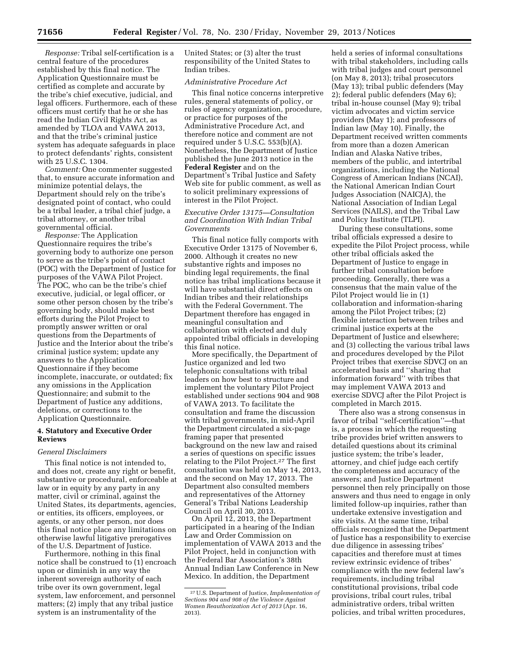*Response:* Tribal self-certification is a central feature of the procedures established by this final notice. The Application Questionnaire must be certified as complete and accurate by the tribe's chief executive, judicial, and legal officers. Furthermore, each of these officers must certify that he or she has read the Indian Civil Rights Act, as amended by TLOA and VAWA 2013, and that the tribe's criminal justice system has adequate safeguards in place to protect defendants' rights, consistent with 25 U.S.C. 1304.

*Comment:* One commenter suggested that, to ensure accurate information and minimize potential delays, the Department should rely on the tribe's designated point of contact, who could be a tribal leader, a tribal chief judge, a tribal attorney, or another tribal governmental official.

*Response:* The Application Questionnaire requires the tribe's governing body to authorize one person to serve as the tribe's point of contact (POC) with the Department of Justice for purposes of the VAWA Pilot Project. The POC, who can be the tribe's chief executive, judicial, or legal officer, or some other person chosen by the tribe's governing body, should make best efforts during the Pilot Project to promptly answer written or oral questions from the Departments of Justice and the Interior about the tribe's criminal justice system; update any answers to the Application Questionnaire if they become incomplete, inaccurate, or outdated; fix any omissions in the Application Questionnaire; and submit to the Department of Justice any additions, deletions, or corrections to the Application Questionnaire.

# **4. Statutory and Executive Order Reviews**

### *General Disclaimers*

This final notice is not intended to, and does not, create any right or benefit, substantive or procedural, enforceable at law or in equity by any party in any matter, civil or criminal, against the United States, its departments, agencies, or entities, its officers, employees, or agents, or any other person, nor does this final notice place any limitations on otherwise lawful litigative prerogatives of the U.S. Department of Justice.

Furthermore, nothing in this final notice shall be construed to (1) encroach upon or diminish in any way the inherent sovereign authority of each tribe over its own government, legal system, law enforcement, and personnel matters; (2) imply that any tribal justice system is an instrumentality of the

United States; or (3) alter the trust responsibility of the United States to Indian tribes.

# *Administrative Procedure Act*

This final notice concerns interpretive rules, general statements of policy, or rules of agency organization, procedure, or practice for purposes of the Administrative Procedure Act, and therefore notice and comment are not required under 5 U.S.C. 553(b)(A). Nonetheless, the Department of Justice published the June 2013 notice in the **Federal Register** and on the Department's Tribal Justice and Safety Web site for public comment, as well as to solicit preliminary expressions of interest in the Pilot Project.

# *Executive Order 13175—Consultation and Coordination With Indian Tribal Governments*

This final notice fully comports with Executive Order 13175 of November 6, 2000. Although it creates no new substantive rights and imposes no binding legal requirements, the final notice has tribal implications because it will have substantial direct effects on Indian tribes and their relationships with the Federal Government. The Department therefore has engaged in meaningful consultation and collaboration with elected and duly appointed tribal officials in developing this final notice.

More specifically, the Department of Justice organized and led two telephonic consultations with tribal leaders on how best to structure and implement the voluntary Pilot Project established under sections 904 and 908 of VAWA 2013. To facilitate the consultation and frame the discussion with tribal governments, in mid-April the Department circulated a six-page framing paper that presented background on the new law and raised a series of questions on specific issues relating to the Pilot Project.27 The first consultation was held on May 14, 2013, and the second on May 17, 2013. The Department also consulted members and representatives of the Attorney General's Tribal Nations Leadership Council on April 30, 2013.

On April 12, 2013, the Department participated in a hearing of the Indian Law and Order Commission on implementation of VAWA 2013 and the Pilot Project, held in conjunction with the Federal Bar Association's 38th Annual Indian Law Conference in New Mexico. In addition, the Department

held a series of informal consultations with tribal stakeholders, including calls with tribal judges and court personnel (on May 8, 2013); tribal prosecutors (May 13); tribal public defenders (May 2); federal public defenders (May 6); tribal in-house counsel (May 9); tribal victim advocates and victim service providers (May 1); and professors of Indian law (May 10). Finally, the Department received written comments from more than a dozen American Indian and Alaska Native tribes, members of the public, and intertribal organizations, including the National Congress of American Indians (NCAI), the National American Indian Court Judges Association (NAICJA), the National Association of Indian Legal Services (NAILS), and the Tribal Law and Policy Institute (TLPI).

During these consultations, some tribal officials expressed a desire to expedite the Pilot Project process, while other tribal officials asked the Department of Justice to engage in further tribal consultation before proceeding. Generally, there was a consensus that the main value of the Pilot Project would lie in (1) collaboration and information-sharing among the Pilot Project tribes; (2) flexible interaction between tribes and criminal justice experts at the Department of Justice and elsewhere; and (3) collecting the various tribal laws and procedures developed by the Pilot Project tribes that exercise SDVCJ on an accelerated basis and ''sharing that information forward'' with tribes that may implement VAWA 2013 and exercise SDVCJ after the Pilot Project is completed in March 2015.

There also was a strong consensus in favor of tribal ''self-certification''—that is, a process in which the requesting tribe provides brief written answers to detailed questions about its criminal justice system; the tribe's leader, attorney, and chief judge each certify the completeness and accuracy of the answers; and Justice Department personnel then rely principally on those answers and thus need to engage in only limited follow-up inquiries, rather than undertake extensive investigation and site visits. At the same time, tribal officials recognized that the Department of Justice has a responsibility to exercise due diligence in assessing tribes' capacities and therefore must at times review extrinsic evidence of tribes' compliance with the new federal law's requirements, including tribal constitutional provisions, tribal code provisions, tribal court rules, tribal administrative orders, tribal written policies, and tribal written procedures,

<sup>27</sup>U.S. Department of Justice, *Implementation of Sections 904 and 908 of the Violence Against Women Reauthorization Act of 2013* (Apr. 16, 2013).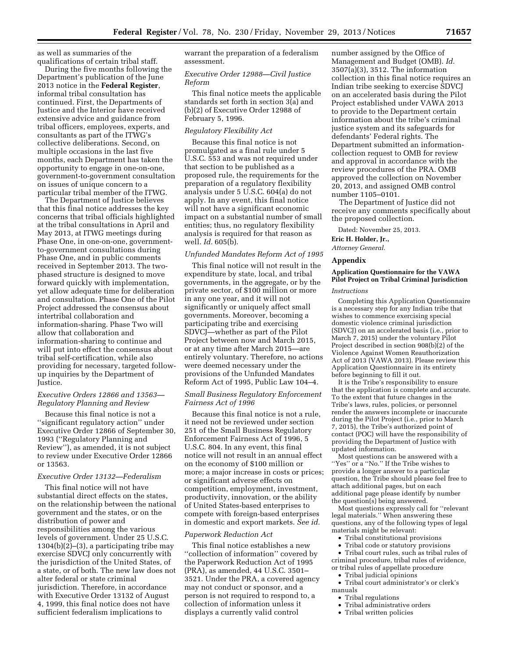as well as summaries of the qualifications of certain tribal staff.

During the five months following the Department's publication of the June 2013 notice in the **Federal Register**, informal tribal consultation has continued. First, the Departments of Justice and the Interior have received extensive advice and guidance from tribal officers, employees, experts, and consultants as part of the ITWG's collective deliberations. Second, on multiple occasions in the last five months, each Department has taken the opportunity to engage in one-on-one, government-to-government consultation on issues of unique concern to a particular tribal member of the ITWG.

The Department of Justice believes that this final notice addresses the key concerns that tribal officials highlighted at the tribal consultations in April and May 2013, at ITWG meetings during Phase One, in one-on-one, governmentto-government consultations during Phase One, and in public comments received in September 2013. The twophased structure is designed to move forward quickly with implementation, yet allow adequate time for deliberation and consultation. Phase One of the Pilot Project addressed the consensus about intertribal collaboration and information-sharing. Phase Two will allow that collaboration and information-sharing to continue and will put into effect the consensus about tribal self-certification, while also providing for necessary, targeted followup inquiries by the Department of Justice.

## *Executive Orders 12866 and 13563— Regulatory Planning and Review*

Because this final notice is not a ''significant regulatory action'' under Executive Order 12866 of September 30, 1993 (''Regulatory Planning and Review''), as amended, it is not subject to review under Executive Order 12866 or 13563.

# *Executive Order 13132—Federalism*

This final notice will not have substantial direct effects on the states, on the relationship between the national government and the states, or on the distribution of power and responsibilities among the various levels of government. Under 25 U.S.C. 1304(b)(2)–(3), a participating tribe may exercise SDVCJ only concurrently with the jurisdiction of the United States, of a state, or of both. The new law does not alter federal or state criminal jurisdiction. Therefore, in accordance with Executive Order 13132 of August 4, 1999, this final notice does not have sufficient federalism implications to

warrant the preparation of a federalism assessment.

## *Executive Order 12988—Civil Justice Reform*

This final notice meets the applicable standards set forth in section 3(a) and (b)(2) of Executive Order 12988 of February 5, 1996.

## *Regulatory Flexibility Act*

Because this final notice is not promulgated as a final rule under 5 U.S.C. 553 and was not required under that section to be published as a proposed rule, the requirements for the preparation of a regulatory flexibility analysis under 5 U.S.C. 604(a) do not apply. In any event, this final notice will not have a significant economic impact on a substantial number of small entities; thus, no regulatory flexibility analysis is required for that reason as well. *Id.* 605(b).

## *Unfunded Mandates Reform Act of 1995*

This final notice will not result in the expenditure by state, local, and tribal governments, in the aggregate, or by the private sector, of \$100 million or more in any one year, and it will not significantly or uniquely affect small governments. Moreover, becoming a participating tribe and exercising SDVCJ—whether as part of the Pilot Project between now and March 2015, or at any time after March 2015—are entirely voluntary. Therefore, no actions were deemed necessary under the provisions of the Unfunded Mandates Reform Act of 1995, Public Law 104–4.

## *Small Business Regulatory Enforcement Fairness Act of 1996*

Because this final notice is not a rule, it need not be reviewed under section 251 of the Small Business Regulatory Enforcement Fairness Act of 1996, 5 U.S.C. 804. In any event, this final notice will not result in an annual effect on the economy of \$100 million or more; a major increase in costs or prices; or significant adverse effects on competition, employment, investment, productivity, innovation, or the ability of United States-based enterprises to compete with foreign-based enterprises in domestic and export markets. *See id.* 

### *Paperwork Reduction Act*

This final notice establishes a new ''collection of information'' covered by the Paperwork Reduction Act of 1995 (PRA), as amended, 44 U.S.C. 3501– 3521. Under the PRA, a covered agency may not conduct or sponsor, and a person is not required to respond to, a collection of information unless it displays a currently valid control

number assigned by the Office of Management and Budget (OMB). *Id.*  3507(a)(3), 3512. The information collection in this final notice requires an Indian tribe seeking to exercise SDVCJ on an accelerated basis during the Pilot Project established under VAWA 2013 to provide to the Department certain information about the tribe's criminal justice system and its safeguards for defendants' Federal rights. The Department submitted an informationcollection request to OMB for review and approval in accordance with the review procedures of the PRA. OMB approved the collection on November 20, 2013, and assigned OMB control number 1105–0101.

The Department of Justice did not receive any comments specifically about the proposed collection.

Dated: November 25, 2013.

# **Eric H. Holder, Jr.,**

*Attorney General.* 

#### **Appendix**

# **Application Questionnaire for the VAWA Pilot Project on Tribal Criminal Jurisdiction**

## *Instructions*

Completing this Application Questionnaire is a necessary step for any Indian tribe that wishes to commence exercising special domestic violence criminal jurisdiction (SDVCJ) on an accelerated basis (i.e., prior to March 7, 2015) under the voluntary Pilot Project described in section 908(b)(2) of the Violence Against Women Reauthorization Act of 2013 (VAWA 2013). Please review this Application Questionnaire in its entirety before beginning to fill it out.

It is the Tribe's responsibility to ensure that the application is complete and accurate. To the extent that future changes in the Tribe's laws, rules, policies, or personnel render the answers incomplete or inaccurate during the Pilot Project (i.e., prior to March 7, 2015), the Tribe's authorized point of contact (POC) will have the responsibility of providing the Department of Justice with updated information.

Most questions can be answered with a ''Yes'' or a ''No.'' If the Tribe wishes to provide a longer answer to a particular question, the Tribe should please feel free to attach additional pages, but on each additional page please identify by number the question(s) being answered.

Most questions expressly call for ''relevant legal materials.'' When answering these questions, any of the following types of legal materials might be relevant:

- Tribal constitutional provisions
- Tribal code or statutory provisions

• Tribal court rules, such as tribal rules of criminal procedure, tribal rules of evidence, or tribal rules of appellate procedure

• Tribal judicial opinions

• Tribal court administrator's or clerk's manuals

- Tribal regulations
- Tribal administrative orders
- Tribal written policies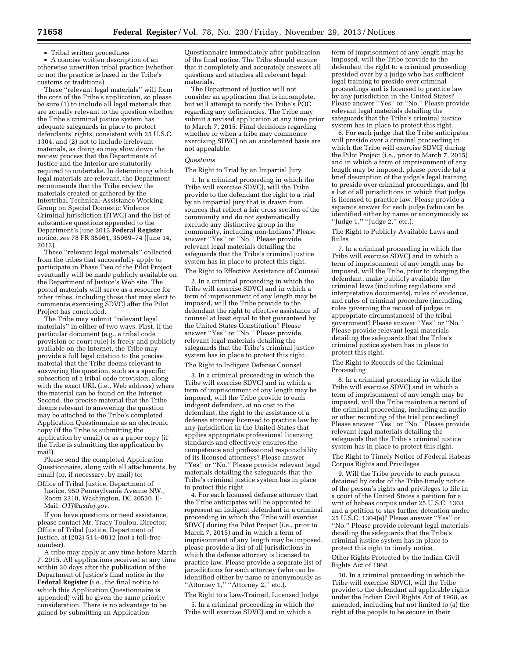• Tribal written procedures

• A concise written description of an otherwise unwritten tribal practice (whether or not the practice is based in the Tribe's customs or traditions)

These ''relevant legal materials'' will form the core of the Tribe's application, so please be sure (1) to include all legal materials that are actually relevant to the question whether the Tribe's criminal justice system has adequate safeguards in place to protect defendants' rights, consistent with 25 U.S.C. 1304, and (2) not to include irrelevant materials, as doing so may slow down the review process that the Departments of Justice and the Interior are statutorily required to undertake. In determining which legal materials are relevant, the Department recommends that the Tribe review the materials created or gathered by the Intertribal Technical-Assistance Working Group on Special Domestic Violence Criminal Jurisdiction (ITWG) and the list of substantive questions appended to the Department's June 2013 **Federal Register**  notice, *see* 78 FR 35961, 35969–74 (June 14, 2013).

These ''relevant legal materials'' collected from the tribes that successfully apply to participate in Phase Two of the Pilot Project eventually will be made publicly available on the Department of Justice's Web site. The posted materials will serve as a resource for other tribes, including those that may elect to commence exercising SDVCJ after the Pilot Project has concluded.

The Tribe may submit ''relevant legal materials'' in either of two ways. First, if the particular document (e.g., a tribal code provision or court rule) is freely and publicly available on the Internet, the Tribe may provide a full legal citation to the precise material that the Tribe deems relevant to answering the question, such as a specific subsection of a tribal code provision, along with the exact URL (i.e., Web address) where the material can be found on the Internet. Second, the precise material that the Tribe deems relevant to answering the question may be attached to the Tribe's completed Application Questionnaire as an electronic copy (if the Tribe is submitting the application by email) or as a paper copy (if the Tribe is submitting the application by mail).

Please send the completed Application Questionnaire, along with all attachments, by email (or, if necessary, by mail) to:

Office of Tribal Justice, Department of Justice, 950 Pennsylvania Avenue NW., Room 2310, Washington, DC 20530, E-Mail: *[OTJ@usdoj.gov.](mailto:OTJ@usdoj.gov)* 

If you have questions or need assistance, please contact Mr. Tracy Toulou, Director, Office of Tribal Justice, Department of Justice, at (202) 514–8812 (not a toll-free number).

A tribe may apply at any time before March 7, 2015. All applications received at any time within 30 days after the publication of the Department of Justice's final notice in the **Federal Register** (i.e., the final notice to which this Application Questionnaire is appended) will be given the same priority consideration. There is no advantage to be gained by submitting an Application

Questionnaire immediately after publication of the final notice. The Tribe should ensure that it completely and accurately answers all questions and attaches all relevant legal materials.

The Department of Justice will not consider an application that is incomplete, but will attempt to notify the Tribe's POC regarding any deficiencies. The Tribe may submit a revised application at any time prior to March 7, 2015. Final decisions regarding whether or when a tribe may commence exercising SDVCJ on an accelerated basis are not appealable.

### *Questions*

The Right to Trial by an Impartial Jury

1. In a criminal proceeding in which the Tribe will exercise SDVCJ, will the Tribe provide to the defendant the right to a trial by an impartial jury that is drawn from sources that reflect a fair cross section of the community and do not systematically exclude any distinctive group in the community, including non-Indians? Please answer ''Yes'' or ''No.'' Please provide relevant legal materials detailing the safeguards that the Tribe's criminal justice system has in place to protect this right. The Right to Effective Assistance of Counsel

2. In a criminal proceeding in which the Tribe will exercise SDVCJ and in which a term of imprisonment of any length may be imposed, will the Tribe provide to the defendant the right to effective assistance of counsel at least equal to that guaranteed by the United States Constitution? Please answer ''Yes'' or ''No.'' Please provide relevant legal materials detailing the safeguards that the Tribe's criminal justice system has in place to protect this right.

The Right to Indigent Defense Counsel

3. In a criminal proceeding in which the Tribe will exercise SDVCJ and in which a term of imprisonment of any length may be imposed, will the Tribe provide to each indigent defendant, at no cost to the defendant, the right to the assistance of a defense attorney licensed to practice law by any jurisdiction in the United States that applies appropriate professional licensing standards and effectively ensures the competence and professional responsibility of its licensed attorneys? Please answer ''Yes'' or ''No.'' Please provide relevant legal materials detailing the safeguards that the Tribe's criminal justice system has in place to protect this right.

4. For each licensed defense attorney that the Tribe anticipates will be appointed to represent an indigent defendant in a criminal proceeding in which the Tribe will exercise SDVCJ during the Pilot Project (i.e., prior to March 7, 2015) and in which a term of imprisonment of any length may be imposed, please provide a list of all jurisdictions in which the defense attorney is licensed to practice law. Please provide a separate list of jurisdictions for each attorney (who can be identified either by name or anonymously as "Attorney 1," "Attorney 2," etc.).

The Right to a Law-Trained, Licensed Judge

5. In a criminal proceeding in which the Tribe will exercise SDVCJ and in which a

term of imprisonment of any length may be imposed, will the Tribe provide to the defendant the right to a criminal proceeding presided over by a judge who has sufficient legal training to preside over criminal proceedings and is licensed to practice law by any jurisdiction in the United States? Please answer ''Yes'' or ''No.'' Please provide relevant legal materials detailing the safeguards that the Tribe's criminal justice system has in place to protect this right.

6. For each judge that the Tribe anticipates will preside over a criminal proceeding in which the Tribe will exercise SDVCJ during the Pilot Project (i.e., prior to March 7, 2015) and in which a term of imprisonment of any length may be imposed, please provide (a) a brief description of the judge's legal training to preside over criminal proceedings, and (b) a list of all jurisdictions in which that judge is licensed to practice law. Please provide a separate answer for each judge (who can be identified either by name or anonymously as ''Judge 1,'' ''Judge 2,'' etc.).

The Right to Publicly Available Laws and Rules

7. In a criminal proceeding in which the Tribe will exercise SDVCJ and in which a term of imprisonment of any length may be imposed, will the Tribe, prior to charging the defendant, make publicly available the criminal laws (including regulations and interpretative documents), rules of evidence, and rules of criminal procedure (including rules governing the recusal of judges in appropriate circumstances) of the tribal government? Please answer ''Yes'' or ''No.'' Please provide relevant legal materials detailing the safeguards that the Tribe's criminal justice system has in place to protect this right.

The Right to Records of the Criminal Proceeding

8. In a criminal proceeding in which the Tribe will exercise SDVCJ and in which a term of imprisonment of any length may be imposed, will the Tribe maintain a record of the criminal proceeding, including an audio or other recording of the trial proceeding? Please answer "Yes" or "No." Please provide relevant legal materials detailing the safeguards that the Tribe's criminal justice system has in place to protect this right.

The Right to Timely Notice of Federal Habeas Corpus Rights and Privileges

9. Will the Tribe provide to each person detained by order of the Tribe timely notice of the person's rights and privileges to file in a court of the United States a petition for a writ of habeas corpus under 25 U.S.C. 1303 and a petition to stay further detention under 25 U.S.C. 1304(e)? Please answer ''Yes'' or ''No.'' Please provide relevant legal materials detailing the safeguards that the Tribe's criminal justice system has in place to protect this right to timely notice.

Other Rights Protected by the Indian Civil Rights Act of 1968

10. In a criminal proceeding in which the Tribe will exercise SDVCJ, will the Tribe provide to the defendant all applicable rights under the Indian Civil Rights Act of 1968, as amended, including but not limited to (a) the right of the people to be secure in their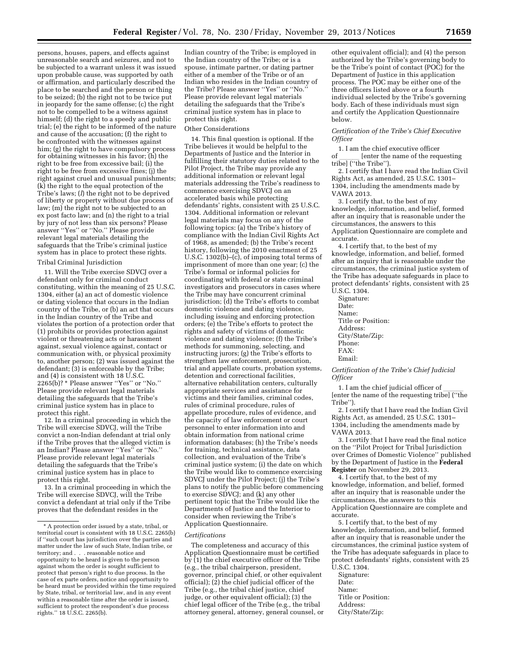persons, houses, papers, and effects against unreasonable search and seizures, and not to be subjected to a warrant unless it was issued upon probable cause, was supported by oath or affirmation, and particularly described the place to be searched and the person or thing to be seized; (b) the right not to be twice put in jeopardy for the same offense; (c) the right not to be compelled to be a witness against himself; (d) the right to a speedy and public trial; (e) the right to be informed of the nature and cause of the accusation; (f) the right to be confronted with the witnesses against him; (g) the right to have compulsory process for obtaining witnesses in his favor; (h) the right to be free from excessive bail; (i) the right to be free from excessive fines; (j) the right against cruel and unusual punishments; (k) the right to the equal protection of the Tribe's laws; (*l*) the right not to be deprived of liberty or property without due process of law; (m) the right not to be subjected to an ex post facto law; and (n) the right to a trial by jury of not less than six persons? Please answer ''Yes'' or ''No.'' Please provide relevant legal materials detailing the safeguards that the Tribe's criminal justice system has in place to protect these rights. Tribal Criminal Jurisdiction

11. Will the Tribe exercise SDVCJ over a defendant only for criminal conduct constituting, within the meaning of 25 U.S.C. 1304, either (a) an act of domestic violence or dating violence that occurs in the Indian country of the Tribe, or (b) an act that occurs in the Indian country of the Tribe and violates the portion of a protection order that (1) prohibits or provides protection against violent or threatening acts or harassment against, sexual violence against, contact or communication with, or physical proximity to, another person; (2) was issued against the defendant; (3) is enforceable by the Tribe; and (4) is consistent with 18 U.S.C. 2265(b)? \* Please answer ''Yes'' or ''No.'' Please provide relevant legal materials detailing the safeguards that the Tribe's criminal justice system has in place to protect this right.

12. In a criminal proceeding in which the Tribe will exercise SDVCJ, will the Tribe convict a non-Indian defendant at trial only if the Tribe proves that the alleged victim is an Indian? Please answer ''Yes'' or ''No.'' Please provide relevant legal materials detailing the safeguards that the Tribe's criminal justice system has in place to protect this right.

13. In a criminal proceeding in which the Tribe will exercise SDVCJ, will the Tribe convict a defendant at trial only if the Tribe proves that the defendant resides in the

Indian country of the Tribe; is employed in the Indian country of the Tribe; or is a spouse, intimate partner, or dating partner either of a member of the Tribe or of an Indian who resides in the Indian country of the Tribe? Please answer ''Yes'' or ''No.'' Please provide relevant legal materials detailing the safeguards that the Tribe's criminal justice system has in place to protect this right.

#### Other Considerations

14. This final question is optional. If the Tribe believes it would be helpful to the Departments of Justice and the Interior in fulfilling their statutory duties related to the Pilot Project, the Tribe may provide any additional information or relevant legal materials addressing the Tribe's readiness to commence exercising SDVCJ on an accelerated basis while protecting defendants' rights, consistent with 25 U.S.C. 1304. Additional information or relevant legal materials may focus on any of the following topics: (a) the Tribe's history of compliance with the Indian Civil Rights Act of 1968, as amended; (b) the Tribe's recent history, following the 2010 enactment of 25 U.S.C. 1302(b)–(c), of imposing total terms of imprisonment of more than one year; (c) the Tribe's formal or informal policies for coordinating with federal or state criminal investigators and prosecutors in cases where the Tribe may have concurrent criminal jurisdiction; (d) the Tribe's efforts to combat domestic violence and dating violence, including issuing and enforcing protection orders; (e) the Tribe's efforts to protect the rights and safety of victims of domestic violence and dating violence; (f) the Tribe's methods for summoning, selecting, and instructing jurors; (g) the Tribe's efforts to strengthen law enforcement, prosecution, trial and appellate courts, probation systems, detention and correctional facilities, alternative rehabilitation centers, culturally appropriate services and assistance for victims and their families, criminal codes, rules of criminal procedure, rules of appellate procedure, rules of evidence, and the capacity of law enforcement or court personnel to enter information into and obtain information from national crime information databases; (h) the Tribe's needs for training, technical assistance, data collection, and evaluation of the Tribe's criminal justice system; (i) the date on which the Tribe would like to commence exercising SDVCJ under the Pilot Project; (j) the Tribe's plans to notify the public before commencing to exercise SDVCJ; and (k) any other pertinent topic that the Tribe would like the Departments of Justice and the Interior to consider when reviewing the Tribe's Application Questionnaire.

#### *Certifications*

The completeness and accuracy of this Application Questionnaire must be certified by (1) the chief executive officer of the Tribe (e.g., the tribal chairperson, president, governor, principal chief, or other equivalent official); (2) the chief judicial officer of the Tribe (e.g., the tribal chief justice, chief judge, or other equivalent official); (3) the chief legal officer of the Tribe (e.g., the tribal attorney general, attorney, general counsel, or

other equivalent official); and (4) the person authorized by the Tribe's governing body to be the Tribe's point of contact (POC) for the Department of Justice in this application process. The POC may be either one of the three officers listed above or a fourth individual selected by the Tribe's governing body. Each of these individuals must sign and certify the Application Questionnaire below.

## *Certification of the Tribe's Chief Executive Officer*

1. I am the chief executive officer<br>of lenter the name of the requ [enter the name of the requesting tribe] (''the Tribe'').

2. I certify that I have read the Indian Civil Rights Act, as amended, 25 U.S.C. 1301– 1304, including the amendments made by VAWA 2013.

3. I certify that, to the best of my knowledge, information, and belief, formed after an inquiry that is reasonable under the circumstances, the answers to this Application Questionnaire are complete and accurate.

4. I certify that, to the best of my knowledge, information, and belief, formed after an inquiry that is reasonable under the circumstances, the criminal justice system of the Tribe has adequate safeguards in place to protect defendants' rights, consistent with 25 U.S.C. 1304.

Signature: Date: Name: Title or Position: Address: City/State/Zip: Phone: FAX: Email:

*Certification of the Tribe's Chief Judicial Officer* 

1. I am the chief judicial officer of [enter the name of the requesting tribe] (''the Tribe'').

2. I certify that I have read the Indian Civil Rights Act, as amended, 25 U.S.C. 1301– 1304, including the amendments made by VAWA 2013.

3. I certify that I have read the final notice on the ''Pilot Project for Tribal Jurisdiction over Crimes of Domestic Violence'' published by the Department of Justice in the **Federal Register** on November 29, 2013.

4. I certify that, to the best of my knowledge, information, and belief, formed after an inquiry that is reasonable under the circumstances, the answers to this Application Questionnaire are complete and accurate.

5. I certify that, to the best of my knowledge, information, and belief, formed after an inquiry that is reasonable under the circumstances, the criminal justice system of the Tribe has adequate safeguards in place to protect defendants' rights, consistent with 25 U.S.C. 1304.

Signature: Date: Name: Title or Position: Address: City/State/Zip:

<sup>\*</sup> A protection order issued by a state, tribal, or territorial court is consistent with 18 U.S.C. 2265(b) if ''such court has jurisdiction over the parties and matter under the law of such State, Indian tribe, or territory; and . . . reasonable notice and opportunity to be heard is given to the person against whom the order is sought sufficient to protect that person's right to due process. In the case of ex parte orders, notice and opportunity to be heard must be provided within the time required by State, tribal, or territorial law, and in any event within a reasonable time after the order is issued, sufficient to protect the respondent's due process rights.'' 18 U.S.C. 2265(b).